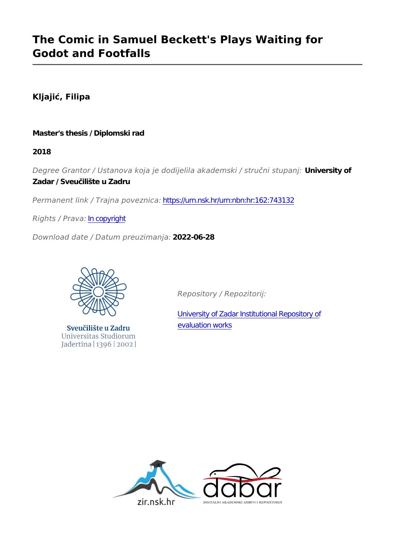# **The Comic in Samuel Beckett's Plays Waiting for Godot and Footfalls**

**Kljajić, Filipa**

### **Master's thesis / Diplomski rad**

**2018**

*Degree Grantor / Ustanova koja je dodijelila akademski / stručni stupanj:* **University of Zadar / Sveučilište u Zadru**

*Permanent link / Trajna poveznica:* <https://urn.nsk.hr/urn:nbn:hr:162:743132>

*Rights / Prava:* [In copyright](http://rightsstatements.org/vocab/InC/1.0/)

*Download date / Datum preuzimanja:* **2022-06-28**



Sveučilište u Zadru Universitas Studiorum Jadertina | 1396 | 2002 |

*Repository / Repozitorij:*

[University of Zadar Institutional Repository of](https://repozitorij.unizd.hr) [evaluation works](https://repozitorij.unizd.hr)

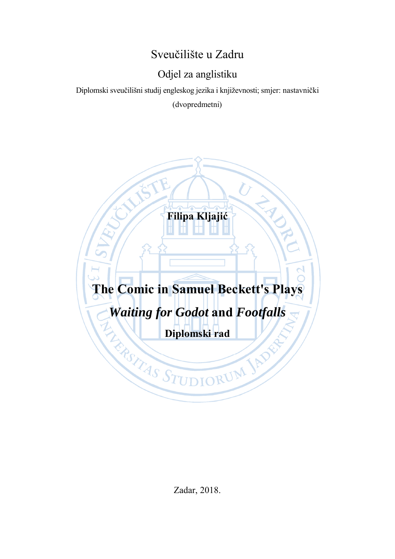# Sveučilište u Zadru

# Odjel za anglistiku

Diplomski sveučilišni studij engleskog jezika i književnosti; smjer: nastavnički (dvopredmetni)



Zadar, 2018.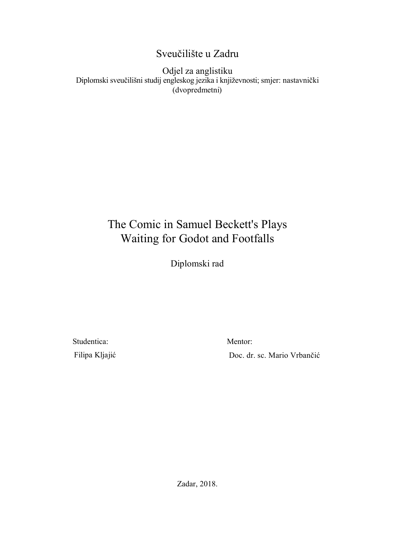## Sveučilište u Zadru

Odjel za anglistiku Diplomski sveučilišni studij engleskog jezika i književnosti; smjer: nastavnički (dvopredmetni)

# The Comic in Samuel Beckett's Plays Waiting for Godot and Footfalls

Diplomski rad

Studentica: Filipa Kljajić Mentor:

Doc. dr. sc. Mario Vrbančić

Zadar, 2018.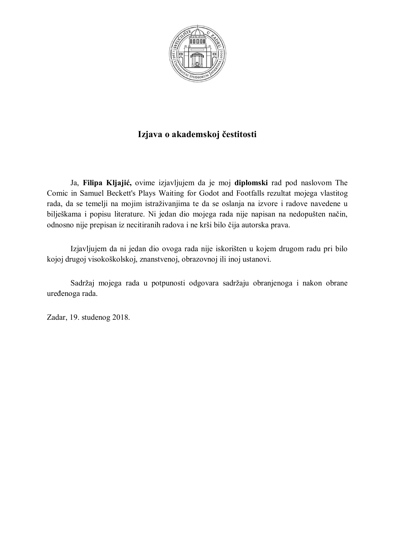

## **Izjava o akademskoj čestitosti**

Ja, **Filipa Kljajić,** ovime izjavljujem da je moj **diplomski** rad pod naslovom The Comic in Samuel Beckett's Plays Waiting for Godot and Footfalls rezultat mojega vlastitog rada, da se temelji na mojim istraživanjima te da se oslanja na izvore i radove navedene u bilješkama i popisu literature. Ni jedan dio mojega rada nije napisan na nedopušten način, odnosno nije prepisan iz necitiranih radova i ne krši bilo čija autorska prava.

Izjavljujem da ni jedan dio ovoga rada nije iskorišten u kojem drugom radu pri bilo kojoj drugoj visokoškolskoj, znanstvenoj, obrazovnoj ili inoj ustanovi.

Sadržaj mojega rada u potpunosti odgovara sadržaju obranjenoga i nakon obrane uređenoga rada.

Zadar, 19. studenog 2018.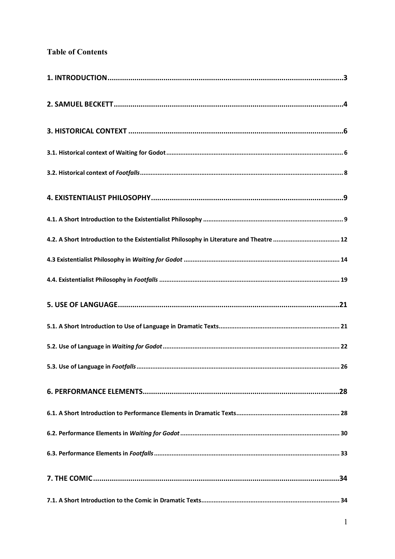## **Table of Contents**

| 4.2. A Short Introduction to the Existentialist Philosophy in Literature and Theatre  12 |
|------------------------------------------------------------------------------------------|
|                                                                                          |
|                                                                                          |
|                                                                                          |
|                                                                                          |
|                                                                                          |
|                                                                                          |
|                                                                                          |
|                                                                                          |
|                                                                                          |
|                                                                                          |
|                                                                                          |
|                                                                                          |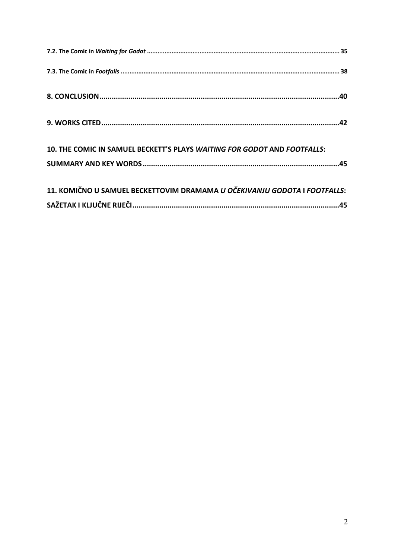| 10. THE COMIC IN SAMUEL BECKETT'S PLAYS WAITING FOR GODOT AND FOOTFALLS:  |  |
|---------------------------------------------------------------------------|--|
|                                                                           |  |
| 11. KOMIČNO U SAMUEL BECKETTOVIM DRAMAMA U OČEKIVANJU GODOTA I FOOTFALLS: |  |
|                                                                           |  |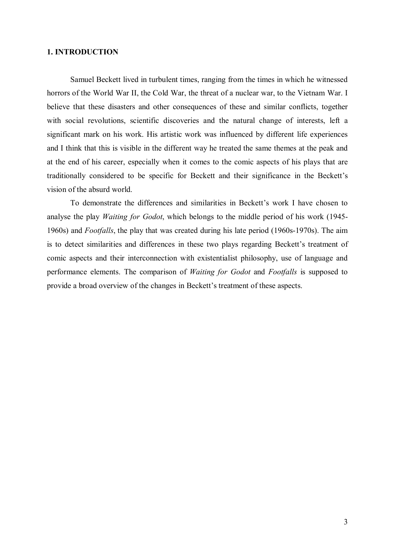#### **1. INTRODUCTION**

Samuel Beckett lived in turbulent times, ranging from the times in which he witnessed horrors of the World War II, the Cold War, the threat of a nuclear war, to the Vietnam War. I believe that these disasters and other consequences of these and similar conflicts, together with social revolutions, scientific discoveries and the natural change of interests, left a significant mark on his work. His artistic work was influenced by different life experiences and I think that this is visible in the different way he treated the same themes at the peak and at the end of his career, especially when it comes to the comic aspects of his plays that are traditionally considered to be specific for Beckett and their significance in the Beckett's vision of the absurd world.

To demonstrate the differences and similarities in Beckett's work I have chosen to analyse the play *Waiting for Godot*, which belongs to the middle period of his work (1945- 1960s) and *Footfalls*, the play that was created during his late period (1960s-1970s). The aim is to detect similarities and differences in these two plays regarding Beckett's treatment of comic aspects and their interconnection with existentialist philosophy, use of language and performance elements. The comparison of *Waiting for Godot* and *Footfalls* is supposed to provide a broad overview of the changes in Beckett's treatment of these aspects.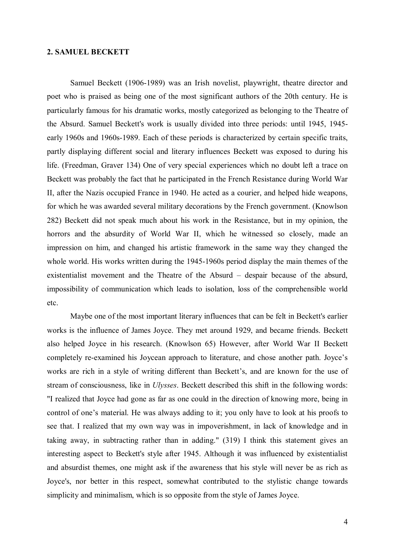#### **2. SAMUEL BECKETT**

Samuel Beckett (1906-1989) was an Irish novelist, playwright, theatre director and poet who is praised as being one of the most significant authors of the 20th century. He is particularly famous for his dramatic works, mostly categorized as belonging to the Theatre of the Absurd. Samuel Beckett's work is usually divided into three periods: until 1945, 1945 early 1960s and 1960s-1989. Each of these periods is characterized by certain specific traits, partly displaying different social and literary influences Beckett was exposed to during his life. (Freedman, Graver 134) One of very special experiences which no doubt left a trace on Beckett was probably the fact that he participated in the French Resistance during World War II, after the Nazis occupied France in 1940. He acted as a courier, and helped hide weapons, for which he was awarded several military decorations by the French government. (Knowlson 282) Beckett did not speak much about his work in the Resistance, but in my opinion, the horrors and the absurdity of World War II, which he witnessed so closely, made an impression on him, and changed his artistic framework in the same way they changed the whole world. His works written during the 1945-1960s period display the main themes of the existentialist movement and the Theatre of the Absurd – despair because of the absurd, impossibility of communication which leads to isolation, loss of the comprehensible world etc.

Maybe one of the most important literary influences that can be felt in Beckett's earlier works is the influence of James Joyce. They met around 1929, and became friends. Beckett also helped Joyce in his research. (Knowlson 65) However, after World War II Beckett completely re-examined his Joycean approach to literature, and chose another path. Joyce's works are rich in a style of writing different than Beckett's, and are known for the use of stream of consciousness, like in *Ulysses*. Beckett described this shift in the following words: "I realized that Joyce had gone as far as one could in the direction of knowing more, being in control of one's material. He was always adding to it; you only have to look at his proofs to see that. I realized that my own way was in impoverishment, in lack of knowledge and in taking away, in subtracting rather than in adding." (319) I think this statement gives an interesting aspect to Beckett's style after 1945. Although it was influenced by existentialist and absurdist themes, one might ask if the awareness that his style will never be as rich as Joyce's, nor better in this respect, somewhat contributed to the stylistic change towards simplicity and minimalism, which is so opposite from the style of James Joyce.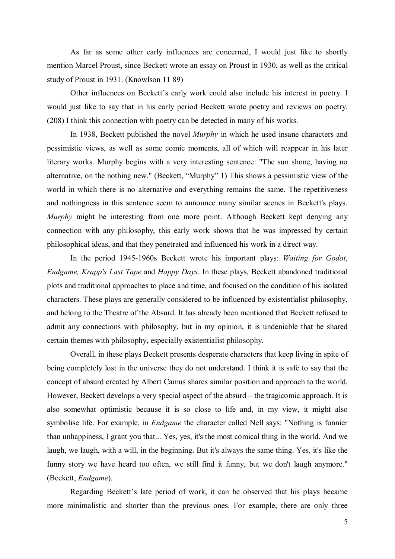As far as some other early influences are concerned, I would just like to shortly mention Marcel Proust, since Beckett wrote an essay on Proust in 1930, as well as the critical study of Proust in 1931. (Knowlson 11 89)

Other influences on Beckett's early work could also include his interest in poetry. I would just like to say that in his early period Beckett wrote poetry and reviews on poetry. (208) I think this connection with poetry can be detected in many of his works.

In 1938, Beckett published the novel *Murphy* in which he used insane characters and pessimistic views, as well as some comic moments, all of which will reappear in his later literary works. Murphy begins with a very interesting sentence: "The sun shone, having no alternative, on the nothing new." (Beckett, "Murphy" 1) This shows a pessimistic view of the world in which there is no alternative and everything remains the same. The repetitiveness and nothingness in this sentence seem to announce many similar scenes in Beckett's plays. *Murphy* might be interesting from one more point. Although Beckett kept denying any connection with any philosophy, this early work shows that he was impressed by certain philosophical ideas, and that they penetrated and influenced his work in a direct way.

In the period 1945-1960s Beckett wrote his important plays: *Waiting for Godot*, *Endgame, Krapp's Last Tape* and *Happy Days*. In these plays, Beckett abandoned traditional plots and traditional approaches to place and time, and focused on the condition of his isolated characters. These plays are generally considered to be influenced by existentialist philosophy, and belong to the Theatre of the Absurd. It has already been mentioned that Beckett refused to admit any connections with philosophy, but in my opinion, it is undeniable that he shared certain themes with philosophy, especially existentialist philosophy.

Overall, in these plays Beckett presents desperate characters that keep living in spite of being completely lost in the universe they do not understand. I think it is safe to say that the concept of absurd created by Albert Camus shares similar position and approach to the world. However, Beckett develops a very special aspect of the absurd – the tragicomic approach. It is also somewhat optimistic because it is so close to life and, in my view, it might also symbolise life. For example, in *Endgame* the character called Nell says: "Nothing is funnier than unhappiness, I grant you that... Yes, yes, it's the most comical thing in the world. And we laugh, we laugh, with a will, in the beginning. But it's always the same thing. Yes, it's like the funny story we have heard too often, we still find it funny, but we don't laugh anymore." (Beckett, *Endgame*).

Regarding Beckett's late period of work, it can be observed that his plays became more minimalistic and shorter than the previous ones. For example, there are only three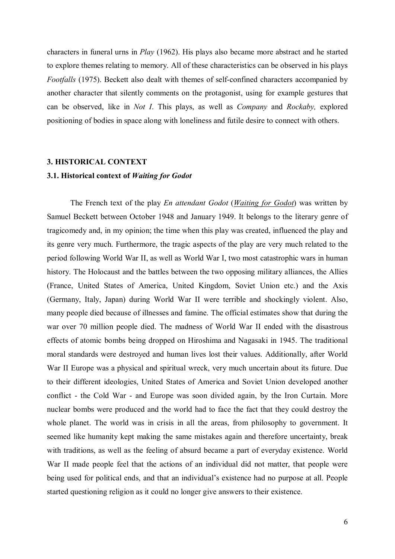characters in funeral urns in *Play* (1962). His plays also became more abstract and he started to explore themes relating to memory. All of these characteristics can be observed in his plays *Footfalls* (1975). Beckett also dealt with themes of self-confined characters accompanied by another character that silently comments on the protagonist, using for example gestures that can be observed, like in *Not I*. This plays, as well as *Company* and *Rockaby,* explored positioning of bodies in space along with loneliness and futile desire to connect with others.

#### **3. HISTORICAL CONTEXT**

#### **3.1. Historical context of** *Waiting for Godot*

The French text of the play *En attendant Godot* (*Waiting for Godot*) was written by Samuel Beckett between October 1948 and January 1949. It belongs to the literary genre of tragicomedy and, in my opinion; the time when this play was created, influenced the play and its genre very much. Furthermore, the tragic aspects of the play are very much related to the period following World War II, as well as World War I, two most catastrophic wars in human history. The Holocaust and the battles between the two opposing military alliances, the Allies (France, United States of America, United Kingdom, Soviet Union etc.) and the Axis (Germany, Italy, Japan) during World War II were terrible and shockingly violent. Also, many people died because of illnesses and famine. The official estimates show that during the war over 70 million people died. The madness of World War II ended with the disastrous effects of atomic bombs being dropped on Hiroshima and Nagasaki in 1945. The traditional moral standards were destroyed and human lives lost their values. Additionally, after World War II Europe was a physical and spiritual wreck, very much uncertain about its future. Due to their different ideologies, United States of America and Soviet Union developed another conflict - the Cold War - and Europe was soon divided again, by the Iron Curtain. More nuclear bombs were produced and the world had to face the fact that they could destroy the whole planet. The world was in crisis in all the areas, from philosophy to government. It seemed like humanity kept making the same mistakes again and therefore uncertainty, break with traditions, as well as the feeling of absurd became a part of everyday existence. World War II made people feel that the actions of an individual did not matter, that people were being used for political ends, and that an individual's existence had no purpose at all. People started questioning religion as it could no longer give answers to their existence.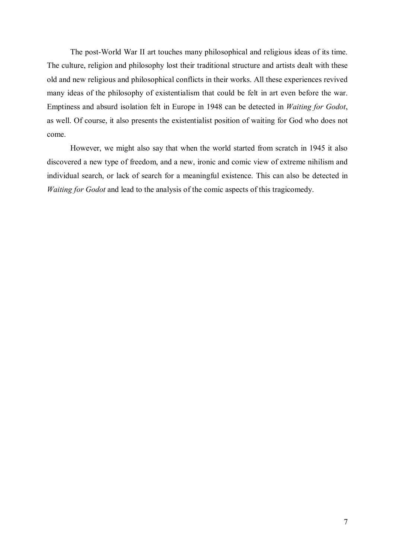The post-World War II art touches many philosophical and religious ideas of its time. The culture, religion and philosophy lost their traditional structure and artists dealt with these old and new religious and philosophical conflicts in their works. All these experiences revived many ideas of the philosophy of existentialism that could be felt in art even before the war. Emptiness and absurd isolation felt in Europe in 1948 can be detected in *Waiting for Godot*, as well. Of course, it also presents the existentialist position of waiting for God who does not come.

However, we might also say that when the world started from scratch in 1945 it also discovered a new type of freedom, and a new, ironic and comic view of extreme nihilism and individual search, or lack of search for a meaningful existence. This can also be detected in *Waiting for Godot* and lead to the analysis of the comic aspects of this tragicomedy.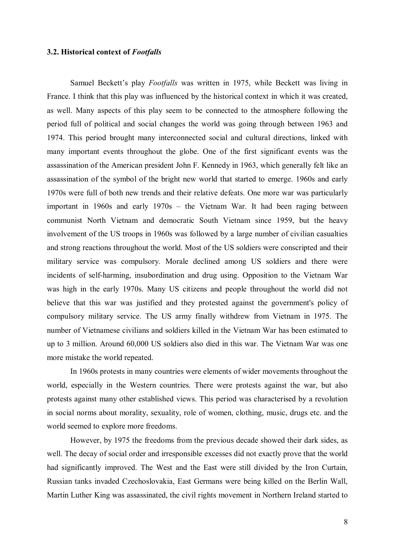#### **3.2. Historical context of** *Footfalls*

Samuel Beckett's play *Footfalls* was written in 1975, while Beckett was living in France. I think that this play was influenced by the historical context in which it was created, as well. Many aspects of this play seem to be connected to the atmosphere following the period full of political and social changes the world was going through between 1963 and 1974. This period brought many interconnected social and cultural directions, linked with many important events throughout the globe. One of the first significant events was the assassination of the American president John F. Kennedy in 1963, which generally felt like an assassination of the symbol of the bright new world that started to emerge. 1960s and early 1970s were full of both new trends and their relative defeats. One more war was particularly important in 1960s and early 1970s – the Vietnam War. It had been raging between communist North Vietnam and democratic South Vietnam since 1959, but the heavy involvement of the US troops in 1960s was followed by a large number of civilian casualties and strong reactions throughout the world. Most of the US soldiers were conscripted and their military service was compulsory. Morale declined among US soldiers and there were incidents of self-harming, insubordination and drug using. Opposition to the Vietnam War was high in the early 1970s. Many US citizens and people throughout the world did not believe that this war was justified and they protested against the government's policy of compulsory military service. The US army finally withdrew from Vietnam in 1975. The number of Vietnamese civilians and soldiers killed in the Vietnam War has been estimated to up to 3 million. Around 60,000 US soldiers also died in this war. The Vietnam War was one more mistake the world repeated.

In 1960s protests in many countries were elements of wider movements throughout the world, especially in the Western countries. There were protests against the war, but also protests against many other established views. This period was characterised by a revolution in social norms about morality, sexuality, role of women, clothing, music, drugs etc. and the world seemed to explore more freedoms.

However, by 1975 the freedoms from the previous decade showed their dark sides, as well. The decay of social order and irresponsible excesses did not exactly prove that the world had significantly improved. The West and the East were still divided by the Iron Curtain, Russian tanks invaded Czechoslovakia, East Germans were being killed on the Berlin Wall, Martin Luther King was assassinated, the civil rights movement in Northern Ireland started to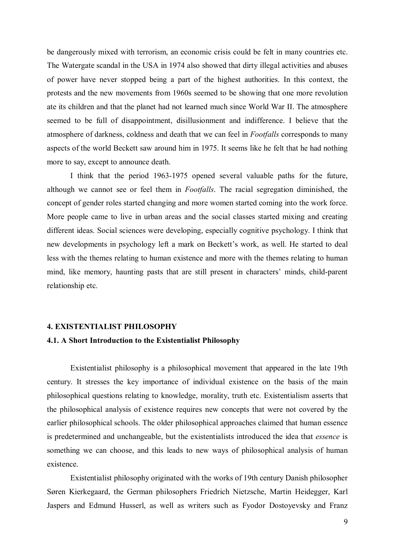be dangerously mixed with terrorism, an economic crisis could be felt in many countries etc. The Watergate scandal in the USA in 1974 also showed that dirty illegal activities and abuses of power have never stopped being a part of the highest authorities. In this context, the protests and the new movements from 1960s seemed to be showing that one more revolution ate its children and that the planet had not learned much since World War II. The atmosphere seemed to be full of disappointment, disillusionment and indifference. I believe that the atmosphere of darkness, coldness and death that we can feel in *Footfalls* corresponds to many aspects of the world Beckett saw around him in 1975. It seems like he felt that he had nothing more to say, except to announce death.

I think that the period 1963-1975 opened several valuable paths for the future, although we cannot see or feel them in *Footfalls*. The racial segregation diminished, the concept of gender roles started changing and more women started coming into the work force. More people came to live in urban areas and the social classes started mixing and creating different ideas. Social sciences were developing, especially cognitive psychology. I think that new developments in psychology left a mark on Beckett's work, as well. He started to deal less with the themes relating to human existence and more with the themes relating to human mind, like memory, haunting pasts that are still present in characters' minds, child-parent relationship etc.

#### **4. EXISTENTIALIST PHILOSOPHY**

#### **4.1. A Short Introduction to the Existentialist Philosophy**

Existentialist philosophy is a philosophical movement that appeared in the late 19th century. It stresses the key importance of individual existence on the basis of the main philosophical questions relating to knowledge, morality, truth etc. Existentialism asserts that the philosophical analysis of existence requires new concepts that were not covered by the earlier philosophical schools. The older philosophical approaches claimed that human essence is predetermined and unchangeable, but the existentialists introduced the idea that *essence* is something we can choose, and this leads to new ways of philosophical analysis of human existence.

Existentialist philosophy originated with the works of 19th century Danish philosopher Søren Kierkegaard, the German philosophers Friedrich Nietzsche, Martin Heidegger, Karl Jaspers and Edmund Husserl, as well as writers such as Fyodor Dostoyevsky and Franz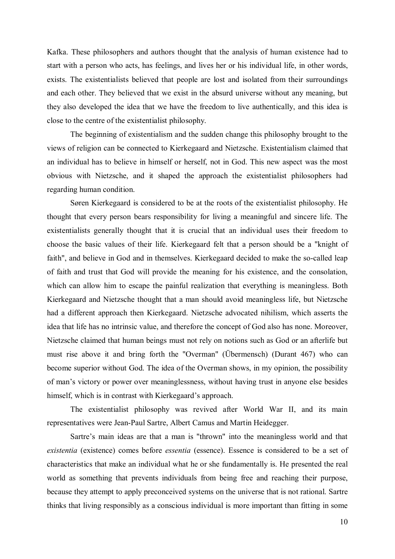Kafka. These philosophers and authors thought that the analysis of human existence had to start with a person who acts, has feelings, and lives her or his individual life, in other words, exists. The existentialists believed that people are lost and isolated from their surroundings and each other. They believed that we exist in the absurd universe without any meaning, but they also developed the idea that we have the freedom to live authentically, and this idea is close to the centre of the existentialist philosophy.

The beginning of existentialism and the sudden change this philosophy brought to the views of religion can be connected to Kierkegaard and Nietzsche. Existentialism claimed that an individual has to believe in himself or herself, not in God. This new aspect was the most obvious with Nietzsche, and it shaped the approach the existentialist philosophers had regarding human condition.

Søren Kierkegaard is considered to be at the roots of the existentialist philosophy. He thought that every person bears responsibility for living a meaningful and sincere life. The existentialists generally thought that it is crucial that an individual uses their freedom to choose the basic values of their life. Kierkegaard felt that a person should be a "knight of faith", and believe in God and in themselves. Kierkegaard decided to make the so-called leap of faith and trust that God will provide the meaning for his existence, and the consolation, which can allow him to escape the painful realization that everything is meaningless. Both Kierkegaard and Nietzsche thought that a man should avoid meaningless life, but Nietzsche had a different approach then Kierkegaard. Nietzsche advocated nihilism, which asserts the idea that life has no intrinsic value, and therefore the concept of God also has none. Moreover, Nietzsche claimed that human beings must not rely on notions such as God or an afterlife but must rise above it and bring forth the "Overman" (Übermensch) (Durant 467) who can become superior without God. The idea of the Overman shows, in my opinion, the possibility of man's victory or power over meaninglessness, without having trust in anyone else besides himself, which is in contrast with Kierkegaard's approach.

The existentialist philosophy was revived after World War II, and its main representatives were Jean-Paul Sartre, Albert Camus and Martin Heidegger.

Sartre's main ideas are that a man is "thrown" into the meaningless world and that *existentia* (existence) comes before *essentia* (essence). Essence is considered to be a set of characteristics that make an individual what he or she fundamentally is. He presented the real world as something that prevents individuals from being free and reaching their purpose, because they attempt to apply preconceived systems on the universe that is not rational. Sartre thinks that living responsibly as a conscious individual is more important than fitting in some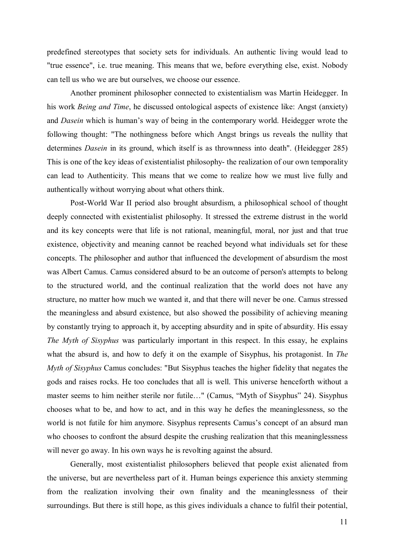predefined stereotypes that society sets for individuals. An authentic living would lead to "true essence", i.e. true meaning. This means that we, before everything else, exist. Nobody can tell us who we are but ourselves, we choose our essence.

Another prominent philosopher connected to existentialism was Martin Heidegger. In his work *Being and Time*, he discussed ontological aspects of existence like: Angst (anxiety) and *Dasein* which is human's way of being in the contemporary world. Heidegger wrote the following thought: "The nothingness before which Angst brings us reveals the nullity that determines *Dasein* in its ground, which itself is as thrownness into death". (Heidegger 285) This is one of the key ideas of existentialist philosophy- the realization of our own temporality can lead to Authenticity. This means that we come to realize how we must live fully and authentically without worrying about what others think.

Post-World War II period also brought absurdism, a philosophical school of thought deeply connected with existentialist philosophy. It stressed the extreme distrust in the world and its key concepts were that life is not rational, meaningful, moral, nor just and that true existence, objectivity and meaning cannot be reached beyond what individuals set for these concepts. The philosopher and author that influenced the development of absurdism the most was Albert Camus. Camus considered absurd to be an outcome of person's attempts to belong to the structured world, and the continual realization that the world does not have any structure, no matter how much we wanted it, and that there will never be one. Camus stressed the meaningless and absurd existence, but also showed the possibility of achieving meaning by constantly trying to approach it, by accepting absurdity and in spite of absurdity. His essay *The Myth of Sisyphus* was particularly important in this respect. In this essay, he explains what the absurd is, and how to defy it on the example of Sisyphus, his protagonist. In *The Myth of Sisyphus* Camus concludes: "But Sisyphus teaches the higher fidelity that negates the gods and raises rocks. He too concludes that all is well. This universe henceforth without a master seems to him neither sterile nor futile…" (Camus, "Myth of Sisyphus" 24). Sisyphus chooses what to be, and how to act, and in this way he defies the meaninglessness, so the world is not futile for him anymore. Sisyphus represents Camus's concept of an absurd man who chooses to confront the absurd despite the crushing realization that this meaninglessness will never go away. In his own ways he is revolting against the absurd.

Generally, most existentialist philosophers believed that people exist alienated from the universe, but are nevertheless part of it. Human beings experience this anxiety stemming from the realization involving their own finality and the meaninglessness of their surroundings. But there is still hope, as this gives individuals a chance to fulfil their potential,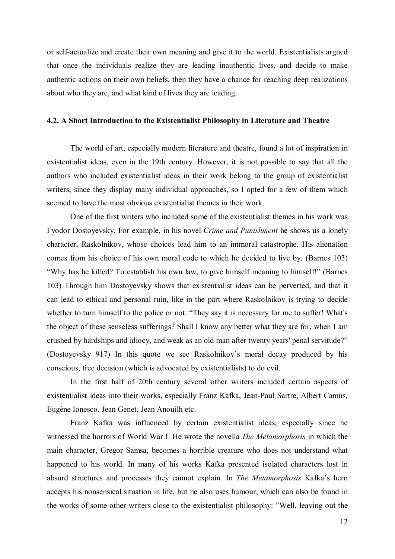or self-actualize and create their own meaning and give it to the world. Existentialists argued that once the individuals realize they are leading inauthentic lives, and decide to make authentic actions on their own beliefs, then they have a chance for reaching deep realizations about who they are, and what kind of lives they are leading.

#### **4.2. A Short Introduction to the Existentialist Philosophy in Literature and Theatre**

The world of art, especially modern literature and theatre, found a lot of inspiration in existentialist ideas, even in the 19th century. However, it is not possible to say that all the authors who included existentialist ideas in their work belong to the group of existentialist writers, since they display many individual approaches, so I opted for a few of them which seemed to have the most obvious existentialist themes in their work.

One of the first writers who included some of the existentialist themes in his work was Fyodor Dostoyevsky. For example, in his novel *Crime and Punishment* he shows us a lonely character, Raskolnikov, whose choices lead him to an immoral catastrophe. His alienation comes from his choice of his own moral code to which he decided to live by. (Barnes 103) "Why has he killed? To establish his own law, to give himself meaning to himself!" (Barnes 103) Through him Dostoyevsky shows that existentialist ideas can be perverted, and that it can lead to ethical and personal ruin, like in the part where Raskolnikov is trying to decide whether to turn himself to the police or not: "They say it is necessary for me to suffer! What's the object of these senseless sufferings? Shall I know any better what they are for, when I am crushed by hardships and idiocy, and weak as an old man after twenty years' penal servitude?" (Dostoyevsky 917) In this quote we see Raskolnikov's moral decay produced by his conscious, free decision (which is advocated by existentialists) to do evil.

In the first half of 20th century several other writers included certain aspects of existentialist ideas into their works, especially Franz Kafka, Jean-Paul Sartre, Albert Camus, Eugène Ionesco, Jean Genet, Jean Anouilh etc.

Franz Kafka was influenced by certain existentialist ideas, especially since he witnessed the horrors of World War I. He wrote the novella *The Metamorphosis* in which the main character, Gregor Samsa, becomes a horrible creature who does not understand what happened to his world. In many of his works Kafka presented isolated characters lost in absurd structures and processes they cannot explain. In *The Metamorphosis* Kafka's hero accepts his nonsensical situation in life, but he also uses humour, which can also be found in the works of some other writers close to the existentialist philosophy: "Well, leaving out the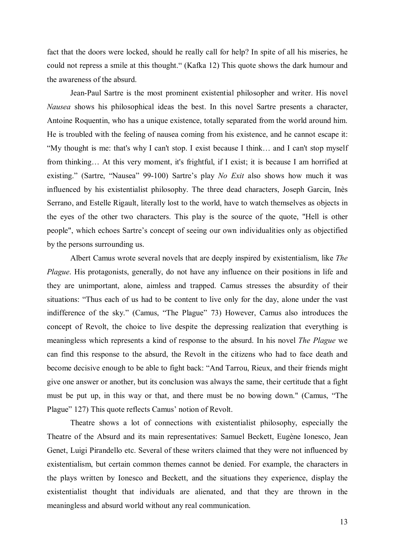fact that the doors were locked, should he really call for help? In spite of all his miseries, he could not repress a smile at this thought." (Kafka 12) This quote shows the dark humour and the awareness of the absurd.

Jean-Paul Sartre is the most prominent existential philosopher and writer. His novel *Nausea* shows his philosophical ideas the best. In this novel Sartre presents a character, Antoine Roquentin, who has a unique existence, totally separated from the world around him. He is troubled with the feeling of nausea coming from his existence, and he cannot escape it: "My thought is me: that's why I can't stop. I exist because I think… and I can't stop myself from thinking… At this very moment, it's frightful, if I exist; it is because I am horrified at existing." (Sartre, "Nausea" 99-100) Sartre's play *No Exit* also shows how much it was influenced by his existentialist philosophy. The three dead characters, Joseph Garcin, Inès Serrano, and Estelle Rigault, literally lost to the world, have to watch themselves as objects in the eyes of the other two characters. This play is the source of the quote, "Hell is other people", which echoes Sartre's concept of seeing our own individualities only as objectified by the persons surrounding us.

Albert Camus wrote several novels that are deeply inspired by existentialism, like *The Plague*. His protagonists, generally, do not have any influence on their positions in life and they are unimportant, alone, aimless and trapped. Camus stresses the absurdity of their situations: "Thus each of us had to be content to live only for the day, alone under the vast indifference of the sky." (Camus, "The Plague" 73) However, Camus also introduces the concept of Revolt, the choice to live despite the depressing realization that everything is meaningless which represents a kind of response to the absurd. In his novel *The Plague* we can find this response to the absurd, the Revolt in the citizens who had to face death and become decisive enough to be able to fight back: "And Tarrou, Rieux, and their friends might give one answer or another, but its conclusion was always the same, their certitude that a fight must be put up, in this way or that, and there must be no bowing down." (Camus, "The Plague" 127) This quote reflects Camus' notion of Revolt.

Theatre shows a lot of connections with existentialist philosophy, especially the Theatre of the Absurd and its main representatives: Samuel Beckett, Eugène Ionesco, Jean Genet, Luigi Pirandello etc. Several of these writers claimed that they were not influenced by existentialism, but certain common themes cannot be denied. For example, the characters in the plays written by Ionesco and Beckett, and the situations they experience, display the existentialist thought that individuals are alienated, and that they are thrown in the meaningless and absurd world without any real communication.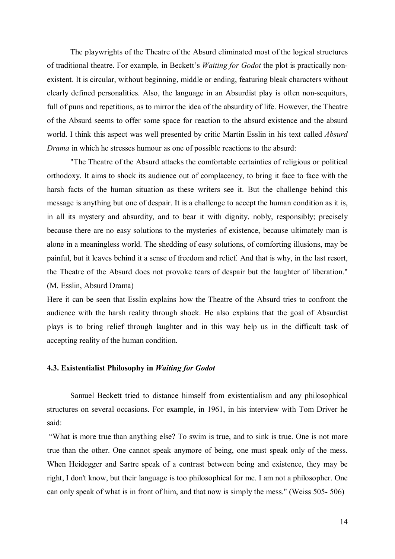The playwrights of the Theatre of the Absurd eliminated most of the logical structures of traditional theatre. For example, in Beckett's *Waiting for Godot* the plot is practically nonexistent. It is circular, without beginning, middle or ending, featuring bleak characters without clearly defined personalities. Also, the language in an Absurdist play is often non-sequiturs, full of puns and repetitions, as to mirror the idea of the absurdity of life. However, the Theatre of the Absurd seems to offer some space for reaction to the absurd existence and the absurd world. I think this aspect was well presented by critic Martin Esslin in his text called *Absurd Drama* in which he stresses humour as one of possible reactions to the absurd:

"The Theatre of the Absurd attacks the comfortable certainties of religious or political orthodoxy. It aims to shock its audience out of complacency, to bring it face to face with the harsh facts of the human situation as these writers see it. But the challenge behind this message is anything but one of despair. It is a challenge to accept the human condition as it is, in all its mystery and absurdity, and to bear it with dignity, nobly, responsibly; precisely because there are no easy solutions to the mysteries of existence, because ultimately man is alone in a meaningless world. The shedding of easy solutions, of comforting illusions, may be painful, but it leaves behind it a sense of freedom and relief. And that is why, in the last resort, the Theatre of the Absurd does not provoke tears of despair but the laughter of liberation." (M. Esslin, Absurd Drama)

Here it can be seen that Esslin explains how the Theatre of the Absurd tries to confront the audience with the harsh reality through shock. He also explains that the goal of Absurdist plays is to bring relief through laughter and in this way help us in the difficult task of accepting reality of the human condition.

#### **4.3. Existentialist Philosophy in** *Waiting for Godot*

Samuel Beckett tried to distance himself from existentialism and any philosophical structures on several occasions. For example, in 1961, in his interview with Tom Driver he said:

"What is more true than anything else? To swim is true, and to sink is true. One is not more true than the other. One cannot speak anymore of being, one must speak only of the mess. When Heidegger and Sartre speak of a contrast between being and existence, they may be right, I don't know, but their language is too philosophical for me. I am not a philosopher. One can only speak of what is in front of him, and that now is simply the mess." (Weiss 505- 506)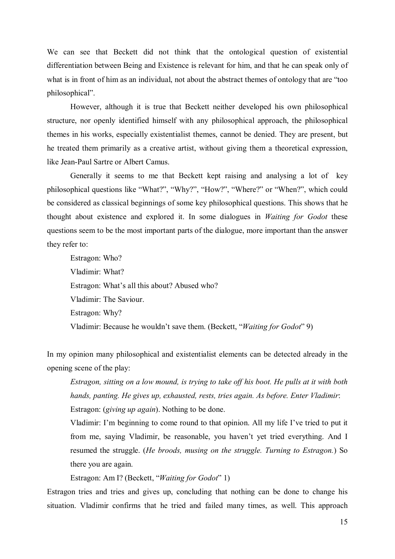We can see that Beckett did not think that the ontological question of existential differentiation between Being and Existence is relevant for him, and that he can speak only of what is in front of him as an individual, not about the abstract themes of ontology that are "too philosophical".

However, although it is true that Beckett neither developed his own philosophical structure, nor openly identified himself with any philosophical approach, the philosophical themes in his works, especially existentialist themes, cannot be denied. They are present, but he treated them primarily as a creative artist, without giving them a theoretical expression, like Jean-Paul Sartre or Albert Camus.

Generally it seems to me that Beckett kept raising and analysing a lot of key philosophical questions like "What?", "Why?", "How?", "Where?" or "When?", which could be considered as classical beginnings of some key philosophical questions. This shows that he thought about existence and explored it. In some dialogues in *Waiting for Godot* these questions seem to be the most important parts of the dialogue, more important than the answer they refer to:

Estragon: Who? Vladimir: What? Estragon: What's all this about? Abused who? Vladimir: The Saviour. Estragon: Why? Vladimir: Because he wouldn't save them. (Beckett, "*Waiting for Godot*" 9)

In my opinion many philosophical and existentialist elements can be detected already in the opening scene of the play:

*Estragon, sitting on a low mound, is trying to take off his boot. He pulls at it with both hands, panting. He gives up, exhausted, rests, tries again. As before. Enter Vladimir*: Estragon: (*giving up again*). Nothing to be done.

Vladimir: I'm beginning to come round to that opinion. All my life I've tried to put it from me, saying Vladimir, be reasonable, you haven't yet tried everything. And I resumed the struggle. (*He broods, musing on the struggle. Turning to Estragon.*) So there you are again.

Estragon: Am I? (Beckett, "*Waiting for Godot*" 1)

Estragon tries and tries and gives up, concluding that nothing can be done to change his situation. Vladimir confirms that he tried and failed many times, as well. This approach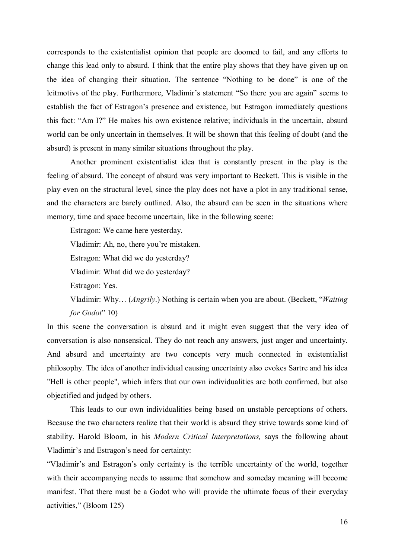corresponds to the existentialist opinion that people are doomed to fail, and any efforts to change this lead only to absurd. I think that the entire play shows that they have given up on the idea of changing their situation. The sentence "Nothing to be done" is one of the leitmotivs of the play. Furthermore, Vladimir's statement "So there you are again" seems to establish the fact of Estragon's presence and existence, but Estragon immediately questions this fact: "Am I?" He makes his own existence relative; individuals in the uncertain, absurd world can be only uncertain in themselves. It will be shown that this feeling of doubt (and the absurd) is present in many similar situations throughout the play.

Another prominent existentialist idea that is constantly present in the play is the feeling of absurd. The concept of absurd was very important to Beckett. This is visible in the play even on the structural level, since the play does not have a plot in any traditional sense, and the characters are barely outlined. Also, the absurd can be seen in the situations where memory, time and space become uncertain, like in the following scene:

Estragon: We came here yesterday.

Vladimir: Ah, no, there you're mistaken.

Estragon: What did we do yesterday?

Vladimir: What did we do yesterday?

Estragon: Yes.

Vladimir: Why… (*Angrily*.) Nothing is certain when you are about. (Beckett, "*Waiting for Godot*" 10)

In this scene the conversation is absurd and it might even suggest that the very idea of conversation is also nonsensical. They do not reach any answers, just anger and uncertainty. And absurd and uncertainty are two concepts very much connected in existentialist philosophy. The idea of another individual causing uncertainty also evokes Sartre and his idea "Hell is other people", which infers that our own individualities are both confirmed, but also objectified and judged by others.

This leads to our own individualities being based on unstable perceptions of others. Because the two characters realize that their world is absurd they strive towards some kind of stability. Harold Bloom, in his *Modern Critical Interpretations,* says the following about Vladimir's and Estragon's need for certainty:

"Vladimir's and Estragon's only certainty is the terrible uncertainty of the world, together with their accompanying needs to assume that somehow and someday meaning will become manifest. That there must be a Godot who will provide the ultimate focus of their everyday activities," (Bloom 125)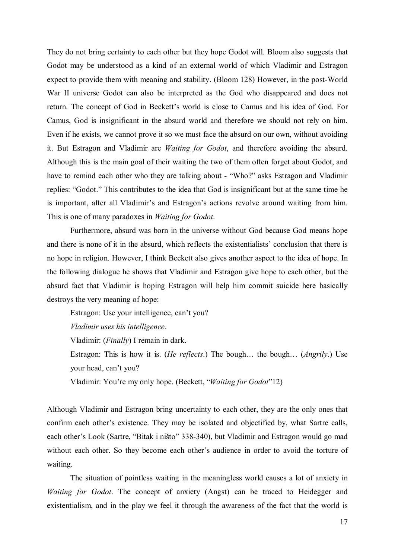They do not bring certainty to each other but they hope Godot will. Bloom also suggests that Godot may be understood as a kind of an external world of which Vladimir and Estragon expect to provide them with meaning and stability. (Bloom 128) However, in the post-World War II universe Godot can also be interpreted as the God who disappeared and does not return. The concept of God in Beckett's world is close to Camus and his idea of God. For Camus, God is insignificant in the absurd world and therefore we should not rely on him. Even if he exists, we cannot prove it so we must face the absurd on our own, without avoiding it. But Estragon and Vladimir are *Waiting for Godot*, and therefore avoiding the absurd. Although this is the main goal of their waiting the two of them often forget about Godot, and have to remind each other who they are talking about - "Who?" asks Estragon and Vladimir replies: "Godot." This contributes to the idea that God is insignificant but at the same time he is important, after all Vladimir's and Estragon's actions revolve around waiting from him. This is one of many paradoxes in *Waiting for Godot*.

Furthermore, absurd was born in the universe without God because God means hope and there is none of it in the absurd, which reflects the existentialists' conclusion that there is no hope in religion. However, I think Beckett also gives another aspect to the idea of hope. In the following dialogue he shows that Vladimir and Estragon give hope to each other, but the absurd fact that Vladimir is hoping Estragon will help him commit suicide here basically destroys the very meaning of hope:

Estragon: Use your intelligence, can't you? *Vladimir uses his intelligence.*  Vladimir: (*Finally*) I remain in dark. Estragon: This is how it is. (*He reflects*.) The bough… the bough… (*Angrily*.) Use your head, can't you? Vladimir: You're my only hope. (Beckett, "*Waiting for Godot*"12)

Although Vladimir and Estragon bring uncertainty to each other, they are the only ones that confirm each other's existence. They may be isolated and objectified by, what Sartre calls, each other's Look (Sartre, "Bitak i ništo" 338-340), but Vladimir and Estragon would go mad without each other. So they become each other's audience in order to avoid the torture of waiting.

The situation of pointless waiting in the meaningless world causes a lot of anxiety in *Waiting for Godot*. The concept of anxiety (Angst) can be traced to Heidegger and existentialism, and in the play we feel it through the awareness of the fact that the world is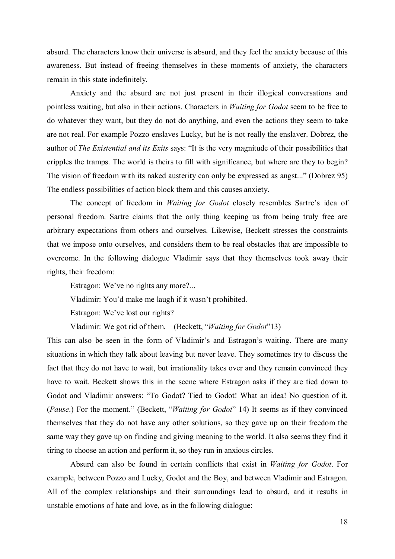absurd. The characters know their universe is absurd, and they feel the anxiety because of this awareness. But instead of freeing themselves in these moments of anxiety, the characters remain in this state indefinitely.

Anxiety and the absurd are not just present in their illogical conversations and pointless waiting, but also in their actions. Characters in *Waiting for Godot* seem to be free to do whatever they want, but they do not do anything, and even the actions they seem to take are not real. For example Pozzo enslaves Lucky, but he is not really the enslaver. Dobrez, the author of *The Existential and its Exits* says: "It is the very magnitude of their possibilities that cripples the tramps. The world is theirs to fill with significance, but where are they to begin? The vision of freedom with its naked austerity can only be expressed as angst..." (Dobrez 95) The endless possibilities of action block them and this causes anxiety.

The concept of freedom in *Waiting for Godot* closely resembles Sartre's idea of personal freedom. Sartre claims that the only thing keeping us from being truly free are arbitrary expectations from others and ourselves. Likewise, Beckett stresses the constraints that we impose onto ourselves, and considers them to be real obstacles that are impossible to overcome. In the following dialogue Vladimir says that they themselves took away their rights, their freedom:

Estragon: We've no rights any more?...

Vladimir: You'd make me laugh if it wasn't prohibited.

Estragon: We've lost our rights?

Vladimir: We got rid of them. (Beckett, "*Waiting for Godot*"13)

This can also be seen in the form of Vladimir's and Estragon's waiting. There are many situations in which they talk about leaving but never leave. They sometimes try to discuss the fact that they do not have to wait, but irrationality takes over and they remain convinced they have to wait. Beckett shows this in the scene where Estragon asks if they are tied down to Godot and Vladimir answers: "To Godot? Tied to Godot! What an idea! No question of it. (*Pause*.) For the moment." (Beckett, "*Waiting for Godot*" 14) It seems as if they convinced themselves that they do not have any other solutions, so they gave up on their freedom the same way they gave up on finding and giving meaning to the world. It also seems they find it tiring to choose an action and perform it, so they run in anxious circles.

Absurd can also be found in certain conflicts that exist in *Waiting for Godot*. For example, between Pozzo and Lucky, Godot and the Boy, and between Vladimir and Estragon. All of the complex relationships and their surroundings lead to absurd, and it results in unstable emotions of hate and love, as in the following dialogue: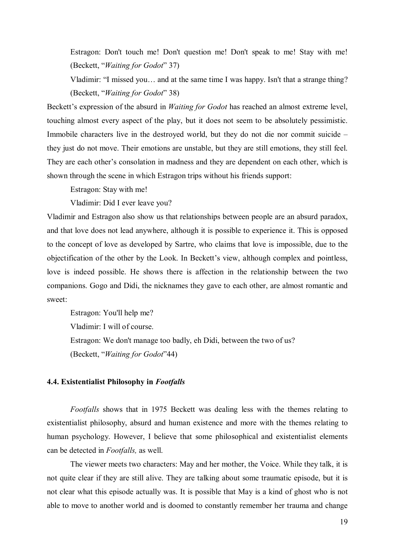Estragon: Don't touch me! Don't question me! Don't speak to me! Stay with me! (Beckett, "*Waiting for Godot*" 37)

Vladimir: "I missed you… and at the same time I was happy. Isn't that a strange thing? (Beckett, "*Waiting for Godot*" 38)

Beckett's expression of the absurd in *Waiting for Godot* has reached an almost extreme level, touching almost every aspect of the play, but it does not seem to be absolutely pessimistic. Immobile characters live in the destroyed world, but they do not die nor commit suicide – they just do not move. Their emotions are unstable, but they are still emotions, they still feel. They are each other's consolation in madness and they are dependent on each other, which is shown through the scene in which Estragon trips without his friends support:

Estragon: Stay with me!

Vladimir: Did I ever leave you?

Vladimir and Estragon also show us that relationships between people are an absurd paradox, and that love does not lead anywhere, although it is possible to experience it. This is opposed to the concept of love as developed by Sartre, who claims that love is impossible, due to the objectification of the other by the Look. In Beckett's view, although complex and pointless, love is indeed possible. He shows there is affection in the relationship between the two companions. Gogo and Didi, the nicknames they gave to each other, are almost romantic and sweet:

Estragon: You'll help me? Vladimir: I will of course. Estragon: We don't manage too badly, eh Didi, between the two of us? (Beckett, "*Waiting for Godot*"44)

#### **4.4. Existentialist Philosophy in** *Footfalls*

*Footfalls* shows that in 1975 Beckett was dealing less with the themes relating to existentialist philosophy, absurd and human existence and more with the themes relating to human psychology. However, I believe that some philosophical and existentialist elements can be detected in *Footfalls,* as well.

The viewer meets two characters: May and her mother, the Voice. While they talk, it is not quite clear if they are still alive. They are talking about some traumatic episode, but it is not clear what this episode actually was. It is possible that May is a kind of ghost who is not able to move to another world and is doomed to constantly remember her trauma and change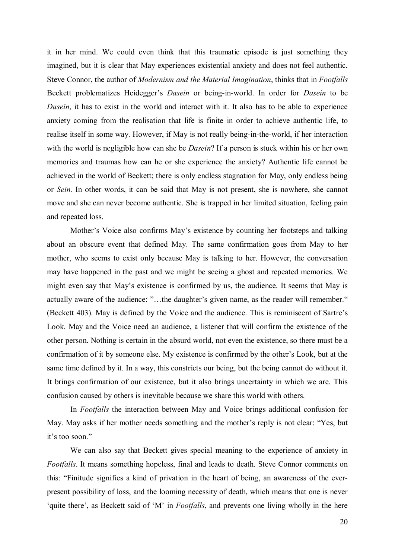it in her mind. We could even think that this traumatic episode is just something they imagined, but it is clear that May experiences existential anxiety and does not feel authentic. Steve Connor, the author of *Modernism and the Material Imagination*, thinks that in *Footfalls* Beckett problematizes Heidegger's *Dasein* or being-in-world. In order for *Dasein* to be *Dasein*, it has to exist in the world and interact with it. It also has to be able to experience anxiety coming from the realisation that life is finite in order to achieve authentic life, to realise itself in some way. However, if May is not really being-in-the-world, if her interaction with the world is negligible how can she be *Dasein*? If a person is stuck within his or her own memories and traumas how can he or she experience the anxiety? Authentic life cannot be achieved in the world of Beckett; there is only endless stagnation for May, only endless being or *Sein*. In other words, it can be said that May is not present, she is nowhere, she cannot move and she can never become authentic. She is trapped in her limited situation, feeling pain and repeated loss.

Mother's Voice also confirms May's existence by counting her footsteps and talking about an obscure event that defined May. The same confirmation goes from May to her mother, who seems to exist only because May is talking to her. However, the conversation may have happened in the past and we might be seeing a ghost and repeated memories. We might even say that May's existence is confirmed by us, the audience. It seems that May is actually aware of the audience: "…the daughter's given name, as the reader will remember." (Beckett 403). May is defined by the Voice and the audience. This is reminiscent of Sartre's Look. May and the Voice need an audience, a listener that will confirm the existence of the other person. Nothing is certain in the absurd world, not even the existence, so there must be a confirmation of it by someone else. My existence is confirmed by the other's Look, but at the same time defined by it. In a way, this constricts our being, but the being cannot do without it. It brings confirmation of our existence, but it also brings uncertainty in which we are. This confusion caused by others is inevitable because we share this world with others.

In *Footfalls* the interaction between May and Voice brings additional confusion for May. May asks if her mother needs something and the mother's reply is not clear: "Yes, but it's too soon."

We can also say that Beckett gives special meaning to the experience of anxiety in *Footfalls*. It means something hopeless, final and leads to death. Steve Connor comments on this: "Finitude signifies a kind of privation in the heart of being, an awareness of the everpresent possibility of loss, and the looming necessity of death, which means that one is never 'quite there', as Beckett said of 'M' in *Footfalls*, and prevents one living wholly in the here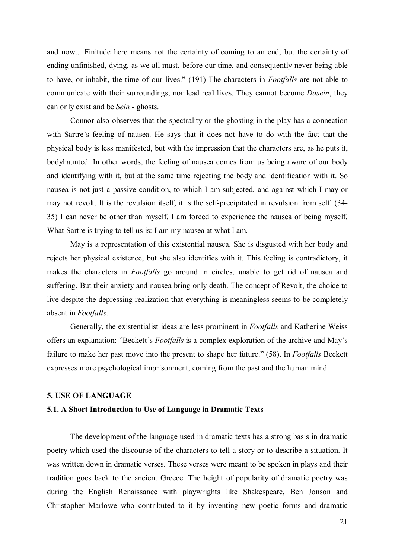and now... Finitude here means not the certainty of coming to an end, but the certainty of ending unfinished, dying, as we all must, before our time, and consequently never being able to have, or inhabit, the time of our lives." (191) The characters in *Footfalls* are not able to communicate with their surroundings, nor lead real lives. They cannot become *Dasein*, they can only exist and be *Sein* - ghosts.

Connor also observes that the spectrality or the ghosting in the play has a connection with Sartre's feeling of nausea. He says that it does not have to do with the fact that the physical body is less manifested, but with the impression that the characters are, as he puts it, bodyhaunted. In other words, the feeling of nausea comes from us being aware of our body and identifying with it, but at the same time rejecting the body and identification with it. So nausea is not just a passive condition, to which I am subjected, and against which I may or may not revolt. It is the revulsion itself; it is the self-precipitated in revulsion from self. (34- 35) I can never be other than myself. I am forced to experience the nausea of being myself. What Sartre is trying to tell us is: I am my nausea at what I am.

May is a representation of this existential nausea. She is disgusted with her body and rejects her physical existence, but she also identifies with it. This feeling is contradictory, it makes the characters in *Footfalls* go around in circles, unable to get rid of nausea and suffering. But their anxiety and nausea bring only death. The concept of Revolt, the choice to live despite the depressing realization that everything is meaningless seems to be completely absent in *Footfalls*.

Generally, the existentialist ideas are less prominent in *Footfalls* and Katherine Weiss offers an explanation: "Beckett's *Footfalls* is a complex exploration of the archive and May's failure to make her past move into the present to shape her future." (58). In *Footfalls* Beckett expresses more psychological imprisonment, coming from the past and the human mind.

#### **5. USE OF LANGUAGE**

#### **5.1. A Short Introduction to Use of Language in Dramatic Texts**

The development of the language used in dramatic texts has a strong basis in dramatic poetry which used the discourse of the characters to tell a story or to describe a situation. It was written down in dramatic verses. These verses were meant to be spoken in plays and their tradition goes back to the ancient Greece. The height of popularity of dramatic poetry was during the English Renaissance with playwrights like Shakespeare, Ben Jonson and Christopher Marlowe who contributed to it by inventing new poetic forms and dramatic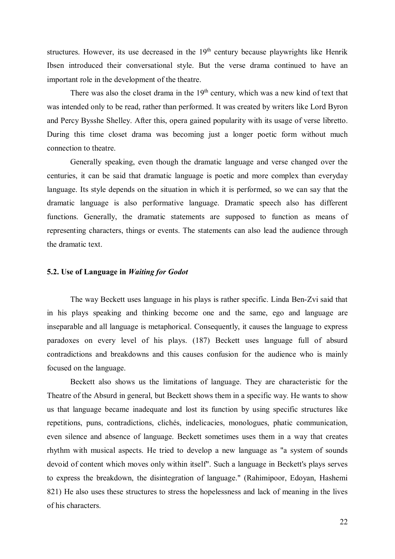structures. However, its use decreased in the  $19<sup>th</sup>$  century because playwrights like Henrik Ibsen introduced their conversational style. But the verse drama continued to have an important role in the development of the theatre.

There was also the closet drama in the  $19<sup>th</sup>$  century, which was a new kind of text that was intended only to be read, rather than performed. It was created by writers like Lord Byron and Percy Bysshe Shelley. After this, opera gained popularity with its usage of verse libretto. During this time closet drama was becoming just a longer poetic form without much connection to theatre.

Generally speaking, even though the dramatic language and verse changed over the centuries, it can be said that dramatic language is poetic and more complex than everyday language. Its style depends on the situation in which it is performed, so we can say that the dramatic language is also performative language. Dramatic speech also has different functions. Generally, the dramatic statements are supposed to function as means of representing characters, things or events. The statements can also lead the audience through the dramatic text.

#### **5.2. Use of Language in** *Waiting for Godot*

The way Beckett uses language in his plays is rather specific. Linda Ben-Zvi said that in his plays speaking and thinking become one and the same, ego and language are inseparable and all language is metaphorical. Consequently, it causes the language to express paradoxes on every level of his plays. (187) Beckett uses language full of absurd contradictions and breakdowns and this causes confusion for the audience who is mainly focused on the language.

Beckett also shows us the limitations of language. They are characteristic for the Theatre of the Absurd in general, but Beckett shows them in a specific way. He wants to show us that language became inadequate and lost its function by using specific structures like repetitions, puns, contradictions, clichés, indelicacies, monologues, phatic communication, even silence and absence of language. Beckett sometimes uses them in a way that creates rhythm with musical aspects. He tried to develop a new language as "a system of sounds devoid of content which moves only within itself". Such a language in Beckett's plays serves to express the breakdown, the disintegration of language." (Rahimipoor, Edoyan, Hashemi 821) He also uses these structures to stress the hopelessness and lack of meaning in the lives of his characters.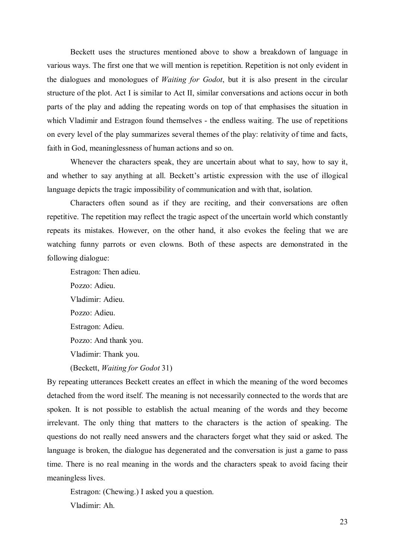Beckett uses the structures mentioned above to show a breakdown of language in various ways. The first one that we will mention is repetition. Repetition is not only evident in the dialogues and monologues of *Waiting for Godot*, but it is also present in the circular structure of the plot. Act I is similar to Act II, similar conversations and actions occur in both parts of the play and adding the repeating words on top of that emphasises the situation in which Vladimir and Estragon found themselves - the endless waiting. The use of repetitions on every level of the play summarizes several themes of the play: relativity of time and facts, faith in God, meaninglessness of human actions and so on.

Whenever the characters speak, they are uncertain about what to say, how to say it, and whether to say anything at all. Beckett's artistic expression with the use of illogical language depicts the tragic impossibility of communication and with that, isolation.

Characters often sound as if they are reciting, and their conversations are often repetitive. The repetition may reflect the tragic aspect of the uncertain world which constantly repeats its mistakes. However, on the other hand, it also evokes the feeling that we are watching funny parrots or even clowns. Both of these aspects are demonstrated in the following dialogue:

Estragon: Then adieu. Pozzo: Adieu. Vladimir: Adieu. Pozzo: Adieu. Estragon: Adieu. Pozzo: And thank you. Vladimir: Thank you. (Beckett, *Waiting for Godot* 31)

By repeating utterances Beckett creates an effect in which the meaning of the word becomes detached from the word itself. The meaning is not necessarily connected to the words that are spoken. It is not possible to establish the actual meaning of the words and they become irrelevant. The only thing that matters to the characters is the action of speaking. The questions do not really need answers and the characters forget what they said or asked. The language is broken, the dialogue has degenerated and the conversation is just a game to pass time. There is no real meaning in the words and the characters speak to avoid facing their meaningless lives.

Estragon: (Chewing.) I asked you a question. Vladimir: Ah.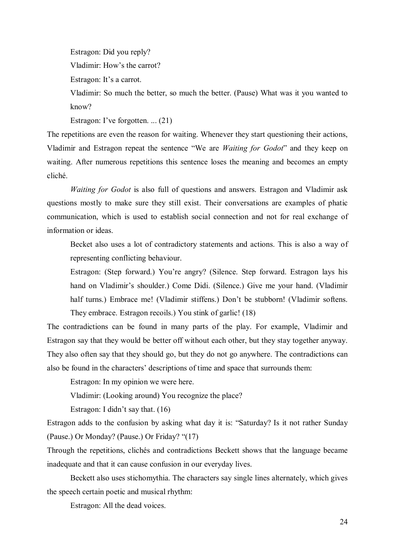Estragon: Did you reply?

Vladimir: How's the carrot?

Estragon: It's a carrot.

Vladimir: So much the better, so much the better. (Pause) What was it you wanted to know?

Estragon: I've forgotten. ... (21)

The repetitions are even the reason for waiting. Whenever they start questioning their actions, Vladimir and Estragon repeat the sentence "We are *Waiting for Godot*" and they keep on waiting. After numerous repetitions this sentence loses the meaning and becomes an empty cliché.

*Waiting for Godot* is also full of questions and answers. Estragon and Vladimir ask questions mostly to make sure they still exist. Their conversations are examples of phatic communication, which is used to establish social connection and not for real exchange of information or ideas.

Becket also uses a lot of contradictory statements and actions. This is also a way of representing conflicting behaviour.

Estragon: (Step forward.) You're angry? (Silence. Step forward. Estragon lays his hand on Vladimir's shoulder.) Come Didi. (Silence.) Give me your hand. (Vladimir half turns.) Embrace me! (Vladimir stiffens.) Don't be stubborn! (Vladimir softens. They embrace. Estragon recoils.) You stink of garlic! (18)

The contradictions can be found in many parts of the play. For example, Vladimir and Estragon say that they would be better off without each other, but they stay together anyway. They also often say that they should go, but they do not go anywhere. The contradictions can also be found in the characters' descriptions of time and space that surrounds them:

Estragon: In my opinion we were here.

Vladimir: (Looking around) You recognize the place?

Estragon: I didn't say that. (16)

Estragon adds to the confusion by asking what day it is: "Saturday? Is it not rather Sunday (Pause.) Or Monday? (Pause.) Or Friday? "(17)

Through the repetitions, clichés and contradictions Beckett shows that the language became inadequate and that it can cause confusion in our everyday lives.

Beckett also uses stichomythia. The characters say single lines alternately, which gives the speech certain poetic and musical rhythm:

Estragon: All the dead voices.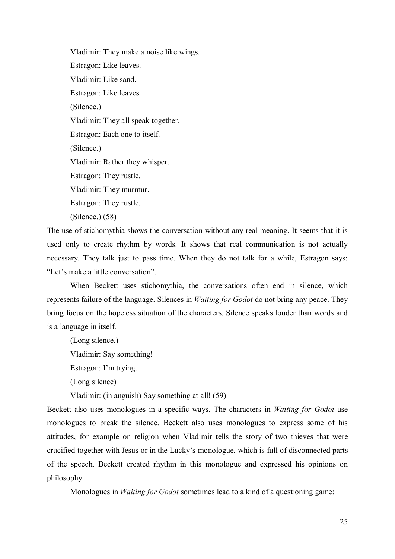Vladimir: They make a noise like wings. Estragon: Like leaves. Vladimir: Like sand. Estragon: Like leaves. (Silence.) Vladimir: They all speak together. Estragon: Each one to itself. (Silence.) Vladimir: Rather they whisper. Estragon: They rustle. Vladimir: They murmur. Estragon: They rustle. (Silence.) (58)

The use of stichomythia shows the conversation without any real meaning. It seems that it is used only to create rhythm by words. It shows that real communication is not actually necessary. They talk just to pass time. When they do not talk for a while, Estragon says: "Let's make a little conversation".

When Beckett uses stichomythia, the conversations often end in silence, which represents failure of the language. Silences in *Waiting for Godot* do not bring any peace. They bring focus on the hopeless situation of the characters. Silence speaks louder than words and is a language in itself.

(Long silence.)

Vladimir: Say something!

Estragon: I'm trying.

(Long silence)

Vladimir: (in anguish) Say something at all! (59)

Beckett also uses monologues in a specific ways. The characters in *Waiting for Godot* use monologues to break the silence. Beckett also uses monologues to express some of his attitudes, for example on religion when Vladimir tells the story of two thieves that were crucified together with Jesus or in the Lucky's monologue, which is full of disconnected parts of the speech. Beckett created rhythm in this monologue and expressed his opinions on philosophy.

Monologues in *Waiting for Godot* sometimes lead to a kind of a questioning game: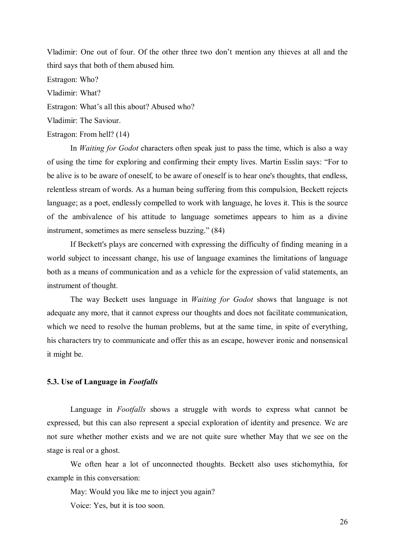Vladimir: One out of four. Of the other three two don't mention any thieves at all and the third says that both of them abused him.

Estragon: Who?

Vladimir: What?

Estragon: What's all this about? Abused who?

Vladimir: The Saviour.

#### Estragon: From hell? (14)

In *Waiting for Godot* characters often speak just to pass the time, which is also a way of using the time for exploring and confirming their empty lives. Martin Esslin says: "For to be alive is to be aware of oneself, to be aware of oneself is to hear one's thoughts, that endless, relentless stream of words. As a human being suffering from this compulsion, Beckett rejects language; as a poet, endlessly compelled to work with language, he loves it. This is the source of the ambivalence of his attitude to language sometimes appears to him as a divine instrument, sometimes as mere senseless buzzing." (84)

If Beckett's plays are concerned with expressing the difficulty of finding meaning in a world subject to incessant change, his use of language examines the limitations of language both as a means of communication and as a vehicle for the expression of valid statements, an instrument of thought.

The way Beckett uses language in *Waiting for Godot* shows that language is not adequate any more, that it cannot express our thoughts and does not facilitate communication, which we need to resolve the human problems, but at the same time, in spite of everything, his characters try to communicate and offer this as an escape, however ironic and nonsensical it might be.

#### **5.3. Use of Language in** *Footfalls*

Language in *Footfalls* shows a struggle with words to express what cannot be expressed, but this can also represent a special exploration of identity and presence. We are not sure whether mother exists and we are not quite sure whether May that we see on the stage is real or a ghost.

We often hear a lot of unconnected thoughts. Beckett also uses stichomythia, for example in this conversation:

May: Would you like me to inject you again?

Voice: Yes, but it is too soon.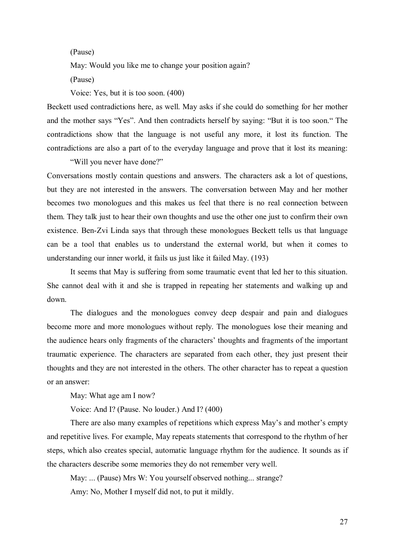(Pause)

May: Would you like me to change your position again?

(Pause)

Voice: Yes, but it is too soon. (400)

Beckett used contradictions here, as well. May asks if she could do something for her mother and the mother says "Yes". And then contradicts herself by saying: "But it is too soon." The contradictions show that the language is not useful any more, it lost its function. The contradictions are also a part of to the everyday language and prove that it lost its meaning:

"Will you never have done?"

Conversations mostly contain questions and answers. The characters ask a lot of questions, but they are not interested in the answers. The conversation between May and her mother becomes two monologues and this makes us feel that there is no real connection between them. They talk just to hear their own thoughts and use the other one just to confirm their own existence. Ben-Zvi Linda says that through these monologues Beckett tells us that language can be a tool that enables us to understand the external world, but when it comes to understanding our inner world, it fails us just like it failed May. (193)

It seems that May is suffering from some traumatic event that led her to this situation. She cannot deal with it and she is trapped in repeating her statements and walking up and down.

The dialogues and the monologues convey deep despair and pain and dialogues become more and more monologues without reply. The monologues lose their meaning and the audience hears only fragments of the characters' thoughts and fragments of the important traumatic experience. The characters are separated from each other, they just present their thoughts and they are not interested in the others. The other character has to repeat a question or an answer:

May: What age am I now?

Voice: And I? (Pause. No louder.) And I? (400)

There are also many examples of repetitions which express May's and mother's empty and repetitive lives. For example, May repeats statements that correspond to the rhythm of her steps, which also creates special, automatic language rhythm for the audience. It sounds as if the characters describe some memories they do not remember very well.

May: ... (Pause) Mrs W: You yourself observed nothing... strange? Amy: No, Mother I myself did not, to put it mildly.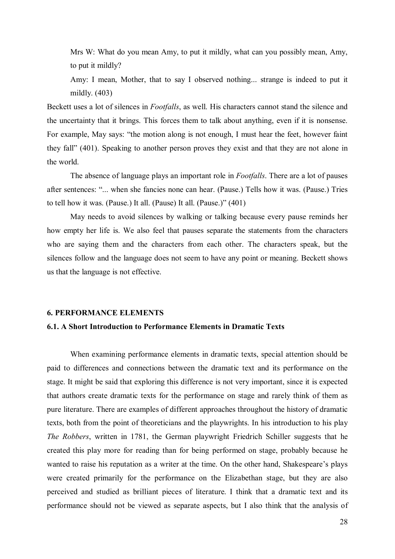Mrs W: What do you mean Amy, to put it mildly, what can you possibly mean, Amy, to put it mildly?

Amy: I mean, Mother, that to say I observed nothing... strange is indeed to put it mildly. (403)

Beckett uses a lot of silences in *Footfalls*, as well. His characters cannot stand the silence and the uncertainty that it brings. This forces them to talk about anything, even if it is nonsense. For example, May says: "the motion along is not enough, I must hear the feet, however faint they fall" (401). Speaking to another person proves they exist and that they are not alone in the world.

The absence of language plays an important role in *Footfalls*. There are a lot of pauses after sentences: "... when she fancies none can hear. (Pause.) Tells how it was. (Pause.) Tries to tell how it was. (Pause.) It all. (Pause) It all. (Pause.)" (401)

May needs to avoid silences by walking or talking because every pause reminds her how empty her life is. We also feel that pauses separate the statements from the characters who are saying them and the characters from each other. The characters speak, but the silences follow and the language does not seem to have any point or meaning. Beckett shows us that the language is not effective.

#### **6. PERFORMANCE ELEMENTS**

#### **6.1. A Short Introduction to Performance Elements in Dramatic Texts**

When examining performance elements in dramatic texts, special attention should be paid to differences and connections between the dramatic text and its performance on the stage. It might be said that exploring this difference is not very important, since it is expected that authors create dramatic texts for the performance on stage and rarely think of them as pure literature. There are examples of different approaches throughout the history of dramatic texts, both from the point of theoreticians and the playwrights. In his introduction to his play *The Robbers*, written in 1781, the German playwright Friedrich Schiller suggests that he created this play more for reading than for being performed on stage, probably because he wanted to raise his reputation as a writer at the time. On the other hand, Shakespeare's plays were created primarily for the performance on the Elizabethan stage, but they are also perceived and studied as brilliant pieces of literature. I think that a dramatic text and its performance should not be viewed as separate aspects, but I also think that the analysis of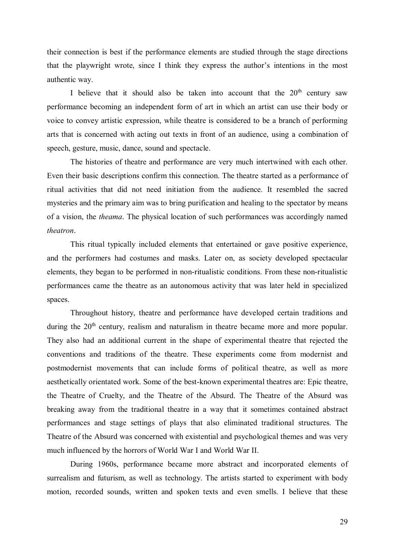their connection is best if the performance elements are studied through the stage directions that the playwright wrote, since I think they express the author's intentions in the most authentic way.

I believe that it should also be taken into account that the  $20<sup>th</sup>$  century saw performance becoming an independent form of art in which an artist can use their body or voice to convey artistic expression, while theatre is considered to be a branch of performing arts that is concerned with acting out texts in front of an audience, using a combination of speech, gesture, music, dance, sound and spectacle.

The histories of theatre and performance are very much intertwined with each other. Even their basic descriptions confirm this connection. The theatre started as a performance of ritual activities that did not need initiation from the audience. It resembled the sacred mysteries and the primary aim was to bring purification and healing to the spectator by means of a vision, the *theama*. The physical location of such performances was accordingly named *theatron*.

This ritual typically included elements that entertained or gave positive experience, and the performers had costumes and masks. Later on, as society developed spectacular elements, they began to be performed in non-ritualistic conditions. From these non-ritualistic performances came the theatre as an autonomous activity that was later held in specialized spaces.

Throughout history, theatre and performance have developed certain traditions and during the  $20<sup>th</sup>$  century, realism and naturalism in theatre became more and more popular. They also had an additional current in the shape of experimental theatre that rejected the conventions and traditions of the theatre. These experiments come from modernist and postmodernist movements that can include forms of political theatre, as well as more aesthetically orientated work. Some of the best-known experimental theatres are: Epic theatre, the Theatre of Cruelty, and the Theatre of the Absurd. The Theatre of the Absurd was breaking away from the traditional theatre in a way that it sometimes contained abstract performances and stage settings of plays that also eliminated traditional structures. The Theatre of the Absurd was concerned with existential and psychological themes and was very much influenced by the horrors of World War I and World War II.

During 1960s, performance became more abstract and incorporated elements of surrealism and futurism, as well as technology. The artists started to experiment with body motion, recorded sounds, written and spoken texts and even smells. I believe that these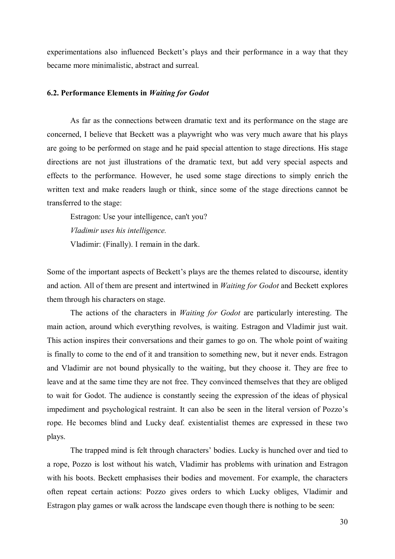experimentations also influenced Beckett's plays and their performance in a way that they became more minimalistic, abstract and surreal.

#### **6.2. Performance Elements in** *Waiting for Godot*

As far as the connections between dramatic text and its performance on the stage are concerned, I believe that Beckett was a playwright who was very much aware that his plays are going to be performed on stage and he paid special attention to stage directions. His stage directions are not just illustrations of the dramatic text, but add very special aspects and effects to the performance. However, he used some stage directions to simply enrich the written text and make readers laugh or think, since some of the stage directions cannot be transferred to the stage:

Estragon: Use your intelligence, can't you? *Vladimir uses his intelligence.* 

Vladimir: (Finally). I remain in the dark.

Some of the important aspects of Beckett's plays are the themes related to discourse, identity and action. All of them are present and intertwined in *Waiting for Godot* and Beckett explores them through his characters on stage.

The actions of the characters in *Waiting for Godot* are particularly interesting. The main action, around which everything revolves, is waiting. Estragon and Vladimir just wait. This action inspires their conversations and their games to go on. The whole point of waiting is finally to come to the end of it and transition to something new, but it never ends. Estragon and Vladimir are not bound physically to the waiting, but they choose it. They are free to leave and at the same time they are not free. They convinced themselves that they are obliged to wait for Godot. The audience is constantly seeing the expression of the ideas of physical impediment and psychological restraint. It can also be seen in the literal version of Pozzo's rope. He becomes blind and Lucky deaf. existentialist themes are expressed in these two plays.

The trapped mind is felt through characters' bodies. Lucky is hunched over and tied to a rope, Pozzo is lost without his watch, Vladimir has problems with urination and Estragon with his boots. Beckett emphasises their bodies and movement. For example, the characters often repeat certain actions: Pozzo gives orders to which Lucky obliges, Vladimir and Estragon play games or walk across the landscape even though there is nothing to be seen: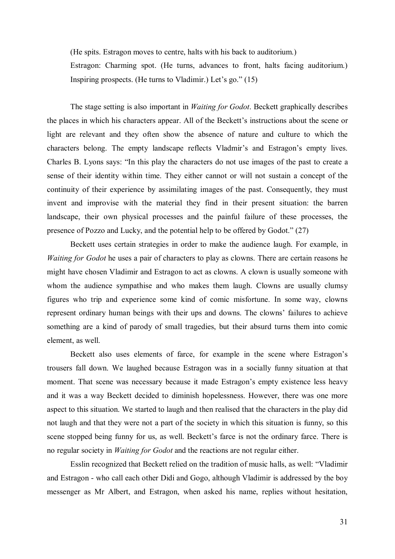(He spits. Estragon moves to centre, halts with his back to auditorium.)

Estragon: Charming spot. (He turns, advances to front, halts facing auditorium.) Inspiring prospects. (He turns to Vladimir.) Let's go." (15)

The stage setting is also important in *Waiting for Godot*. Beckett graphically describes the places in which his characters appear. All of the Beckett's instructions about the scene or light are relevant and they often show the absence of nature and culture to which the characters belong. The empty landscape reflects Vladmir's and Estragon's empty lives. Charles B. Lyons says: "In this play the characters do not use images of the past to create a sense of their identity within time. They either cannot or will not sustain a concept of the continuity of their experience by assimilating images of the past. Consequently, they must invent and improvise with the material they find in their present situation: the barren landscape, their own physical processes and the painful failure of these processes, the presence of Pozzo and Lucky, and the potential help to be offered by Godot." (27)

Beckett uses certain strategies in order to make the audience laugh. For example, in *Waiting for Godot* he uses a pair of characters to play as clowns. There are certain reasons he might have chosen Vladimir and Estragon to act as clowns. A clown is usually someone with whom the audience sympathise and who makes them laugh. Clowns are usually clumsy figures who trip and experience some kind of comic misfortune. In some way, clowns represent ordinary human beings with their ups and downs. The clowns' failures to achieve something are a kind of parody of small tragedies, but their absurd turns them into comic element, as well.

Beckett also uses elements of farce, for example in the scene where Estragon's trousers fall down. We laughed because Estragon was in a socially funny situation at that moment. That scene was necessary because it made Estragon's empty existence less heavy and it was a way Beckett decided to diminish hopelessness. However, there was one more aspect to this situation. We started to laugh and then realised that the characters in the play did not laugh and that they were not a part of the society in which this situation is funny, so this scene stopped being funny for us, as well. Beckett's farce is not the ordinary farce. There is no regular society in *Waiting for Godot* and the reactions are not regular either.

Esslin recognized that Beckett relied on the tradition of music halls, as well: "Vladimir and Estragon - who call each other Didi and Gogo, although Vladimir is addressed by the boy messenger as Mr Albert, and Estragon, when asked his name, replies without hesitation,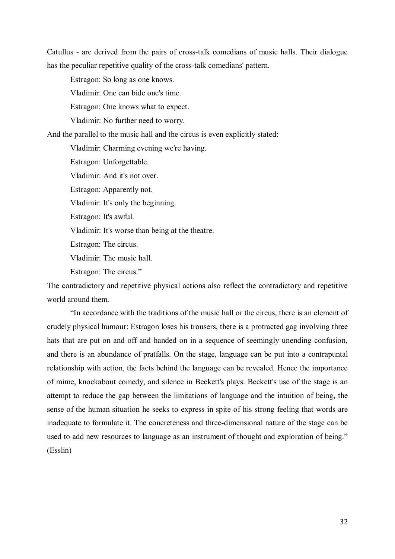Catullus - are derived from the pairs of cross-talk comedians of music halls. Their dialogue has the peculiar repetitive quality of the cross-talk comedians' pattern.

Estragon: So long as one knows.

Vladimir: One can bide one's time.

Estragon: One knows what to expect.

Vladimir: No further need to worry.

And the parallel to the music hall and the circus is even explicitly stated:

Vladimir: Charming evening we're having.

Estragon: Unforgettable.

Vladimir: And it's not over.

Estragon: Apparently not.

Vladimir: It's only the beginning.

Estragon: It's awful.

Vladimir: It's worse than being at the theatre.

Estragon: The circus.

Vladimir: The music hall.

Estragon: The circus."

The contradictory and repetitive physical actions also reflect the contradictory and repetitive world around them.

"In accordance with the traditions of the music hall or the circus, there is an element of crudely physical humour: Estragon loses his trousers, there is a protracted gag involving three hats that are put on and off and handed on in a sequence of seemingly unending confusion, and there is an abundance of pratfalls. On the stage, language can be put into a contrapuntal relationship with action, the facts behind the language can be revealed. Hence the importance of mime, knockabout comedy, and silence in Beckett's plays. Beckett's use of the stage is an attempt to reduce the gap between the limitations of language and the intuition of being, the sense of the human situation he seeks to express in spite of his strong feeling that words are inadequate to formulate it. The concreteness and three-dimensional nature of the stage can be used to add new resources to language as an instrument of thought and exploration of being." (Esslin)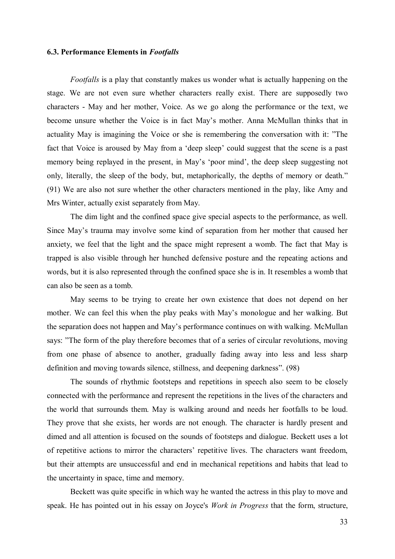#### **6.3. Performance Elements in** *Footfalls*

*Footfalls* is a play that constantly makes us wonder what is actually happening on the stage. We are not even sure whether characters really exist. There are supposedly two characters - May and her mother, Voice. As we go along the performance or the text, we become unsure whether the Voice is in fact May's mother. Anna McMullan thinks that in actuality May is imagining the Voice or she is remembering the conversation with it: "The fact that Voice is aroused by May from a 'deep sleep' could suggest that the scene is a past memory being replayed in the present, in May's 'poor mind', the deep sleep suggesting not only, literally, the sleep of the body, but, metaphorically, the depths of memory or death." (91) We are also not sure whether the other characters mentioned in the play, like Amy and Mrs Winter, actually exist separately from May.

The dim light and the confined space give special aspects to the performance, as well. Since May's trauma may involve some kind of separation from her mother that caused her anxiety, we feel that the light and the space might represent a womb. The fact that May is trapped is also visible through her hunched defensive posture and the repeating actions and words, but it is also represented through the confined space she is in. It resembles a womb that can also be seen as a tomb.

May seems to be trying to create her own existence that does not depend on her mother. We can feel this when the play peaks with May's monologue and her walking. But the separation does not happen and May's performance continues on with walking. McMullan says: "The form of the play therefore becomes that of a series of circular revolutions, moving from one phase of absence to another, gradually fading away into less and less sharp definition and moving towards silence, stillness, and deepening darkness". (98)

The sounds of rhythmic footsteps and repetitions in speech also seem to be closely connected with the performance and represent the repetitions in the lives of the characters and the world that surrounds them. May is walking around and needs her footfalls to be loud. They prove that she exists, her words are not enough. The character is hardly present and dimed and all attention is focused on the sounds of footsteps and dialogue. Beckett uses a lot of repetitive actions to mirror the characters' repetitive lives. The characters want freedom, but their attempts are unsuccessful and end in mechanical repetitions and habits that lead to the uncertainty in space, time and memory.

Beckett was quite specific in which way he wanted the actress in this play to move and speak. He has pointed out in his essay on Joyce's *Work in Progress* that the form, structure,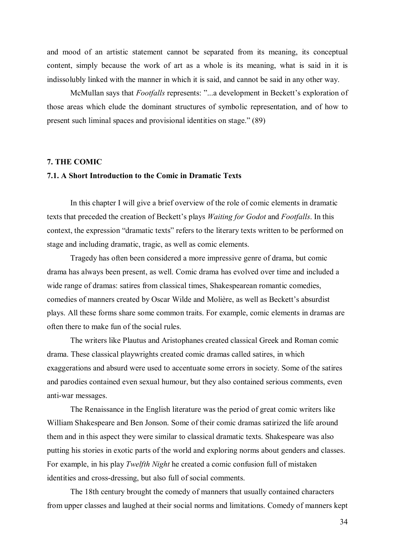and mood of an artistic statement cannot be separated from its meaning, its conceptual content, simply because the work of art as a whole is its meaning, what is said in it is indissolubly linked with the manner in which it is said, and cannot be said in any other way.

McMullan says that *Footfalls* represents: "...a development in Beckett's exploration of those areas which elude the dominant structures of symbolic representation, and of how to present such liminal spaces and provisional identities on stage." (89)

#### **7. THE COMIC**

#### **7.1. A Short Introduction to the Comic in Dramatic Texts**

In this chapter I will give a brief overview of the role of comic elements in dramatic texts that preceded the creation of Beckett's plays *Waiting for Godot* and *Footfalls*. In this context, the expression "dramatic texts" refers to the literary texts written to be performed on stage and including dramatic, tragic, as well as comic elements.

Tragedy has often been considered a more impressive genre of drama, but comic drama has always been present, as well. Comic drama has evolved over time and included a wide range of dramas: satires from classical times, Shakespearean romantic comedies, comedies of manners created by Oscar Wilde and Molière, as well as Beckett's absurdist plays. All these forms share some common traits. For example, comic elements in dramas are often there to make fun of the social rules.

The writers like Plautus and Aristophanes created classical Greek and Roman comic drama. These classical playwrights created comic dramas called satires, in which exaggerations and absurd were used to accentuate some errors in society. Some of the satires and parodies contained even sexual humour, but they also contained serious comments, even anti-war messages.

The Renaissance in the English literature was the period of great comic writers like William Shakespeare and Ben Jonson. Some of their comic dramas satirized the life around them and in this aspect they were similar to classical dramatic texts. Shakespeare was also putting his stories in exotic parts of the world and exploring norms about genders and classes. For example, in his play *Twelfth Night* he created a comic confusion full of mistaken identities and cross-dressing, but also full of social comments.

The 18th century brought the comedy of manners that usually contained characters from upper classes and laughed at their social norms and limitations. Comedy of manners kept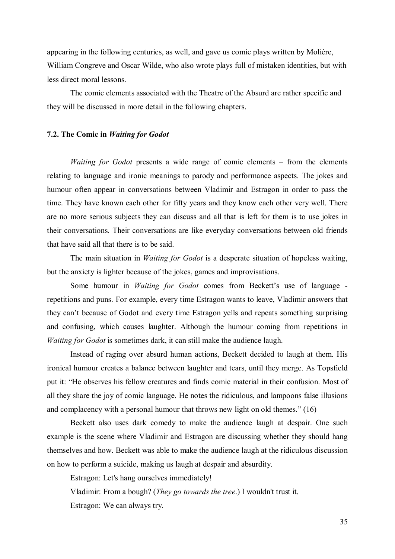appearing in the following centuries, as well, and gave us comic plays written by Molière, William Congreve and Oscar Wilde, who also wrote plays full of mistaken identities, but with less direct moral lessons.

The comic elements associated with the Theatre of the Absurd are rather specific and they will be discussed in more detail in the following chapters.

#### **7.2. The Comic in** *Waiting for Godot*

*Waiting for Godot* presents a wide range of comic elements – from the elements relating to language and ironic meanings to parody and performance aspects. The jokes and humour often appear in conversations between Vladimir and Estragon in order to pass the time. They have known each other for fifty years and they know each other very well. There are no more serious subjects they can discuss and all that is left for them is to use jokes in their conversations. Their conversations are like everyday conversations between old friends that have said all that there is to be said.

The main situation in *Waiting for Godot* is a desperate situation of hopeless waiting, but the anxiety is lighter because of the jokes, games and improvisations.

Some humour in *Waiting for Godot* comes from Beckett's use of language repetitions and puns. For example, every time Estragon wants to leave, Vladimir answers that they can't because of Godot and every time Estragon yells and repeats something surprising and confusing, which causes laughter. Although the humour coming from repetitions in *Waiting for Godot* is sometimes dark, it can still make the audience laugh.

Instead of raging over absurd human actions, Beckett decided to laugh at them. His ironical humour creates a balance between laughter and tears, until they merge. As Topsfield put it: "He observes his fellow creatures and finds comic material in their confusion. Most of all they share the joy of comic language. He notes the ridiculous, and lampoons false illusions and complacency with a personal humour that throws new light on old themes." (16)

Beckett also uses dark comedy to make the audience laugh at despair. One such example is the scene where Vladimir and Estragon are discussing whether they should hang themselves and how. Beckett was able to make the audience laugh at the ridiculous discussion on how to perform a suicide, making us laugh at despair and absurdity.

Estragon: Let's hang ourselves immediately!

Vladimir: From a bough? (*They go towards the tree*.) I wouldn't trust it.

Estragon: We can always try.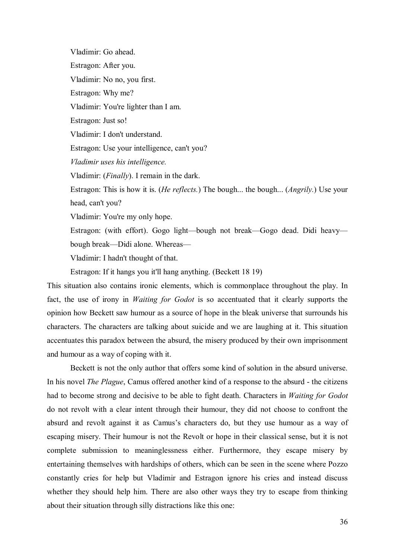Vladimir: Go ahead. Estragon: After you. Vladimir: No no, you first. Estragon: Why me? Vladimir: You're lighter than I am. Estragon: Just so! Vladimir: I don't understand. Estragon: Use your intelligence, can't you? *Vladimir uses his intelligence.*  Vladimir: (*Finally*). I remain in the dark. Estragon: This is how it is. (*He reflects.*) The bough... the bough... (*Angrily.*) Use your head, can't you? Vladimir: You're my only hope. Estragon: (with effort). Gogo light—bough not break—Gogo dead. Didi heavy bough break—Didi alone. Whereas— Vladimir: I hadn't thought of that.

Estragon: If it hangs you it'll hang anything. (Beckett 18 19)

This situation also contains ironic elements, which is commonplace throughout the play. In fact, the use of irony in *Waiting for Godot* is so accentuated that it clearly supports the opinion how Beckett saw humour as a source of hope in the bleak universe that surrounds his characters. The characters are talking about suicide and we are laughing at it. This situation accentuates this paradox between the absurd, the misery produced by their own imprisonment and humour as a way of coping with it.

Beckett is not the only author that offers some kind of solution in the absurd universe. In his novel *The Plague*, Camus offered another kind of a response to the absurd - the citizens had to become strong and decisive to be able to fight death. Characters in *Waiting for Godot* do not revolt with a clear intent through their humour, they did not choose to confront the absurd and revolt against it as Camus's characters do, but they use humour as a way of escaping misery. Their humour is not the Revolt or hope in their classical sense, but it is not complete submission to meaninglessness either. Furthermore, they escape misery by entertaining themselves with hardships of others, which can be seen in the scene where Pozzo constantly cries for help but Vladimir and Estragon ignore his cries and instead discuss whether they should help him. There are also other ways they try to escape from thinking about their situation through silly distractions like this one: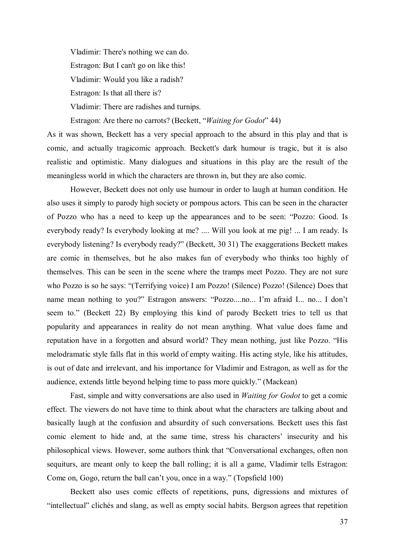Vladimir: There's nothing we can do. Estragon: But I can't go on like this! Vladimir: Would you like a radish? Estragon: Is that all there is? Vladimir: There are radishes and turnips. Estragon: Are there no carrots? (Beckett, "*Waiting for Godot*" 44)

As it was shown, Beckett has a very special approach to the absurd in this play and that is comic, and actually tragicomic approach. Beckett's dark humour is tragic, but it is also realistic and optimistic. Many dialogues and situations in this play are the result of the meaningless world in which the characters are thrown in, but they are also comic.

However, Beckett does not only use humour in order to laugh at human condition. He also uses it simply to parody high society or pompous actors. This can be seen in the character of Pozzo who has a need to keep up the appearances and to be seen: "Pozzo: Good. Is everybody ready? Is everybody looking at me? .... Will you look at me pig! ... I am ready. Is everybody listening? Is everybody ready?" (Beckett, 30 31) The exaggerations Beckett makes are comic in themselves, but he also makes fun of everybody who thinks too highly of themselves. This can be seen in the scene where the tramps meet Pozzo. They are not sure who Pozzo is so he says: "(Terrifying voice) I am Pozzo! (Silence) Pozzo! (Silence) Does that name mean nothing to you?" Estragon answers: "Pozzo....no... I'm afraid I... no... I don't seem to." (Beckett 22) By employing this kind of parody Beckett tries to tell us that popularity and appearances in reality do not mean anything. What value does fame and reputation have in a forgotten and absurd world? They mean nothing, just like Pozzo. "His melodramatic style falls flat in this world of empty waiting. His acting style, like his attitudes, is out of date and irrelevant, and his importance for Vladimir and Estragon, as well as for the audience, extends little beyond helping time to pass more quickly." (Mackean)

Fast, simple and witty conversations are also used in *Waiting for Godot* to get a comic effect. The viewers do not have time to think about what the characters are talking about and basically laugh at the confusion and absurdity of such conversations. Beckett uses this fast comic element to hide and, at the same time, stress his characters' insecurity and his philosophical views. However, some authors think that "Conversational exchanges, often non sequiturs, are meant only to keep the ball rolling; it is all a game, Vladimir tells Estragon: Come on, Gogo, return the ball can't you, once in a way." (Topsfield 100)

Beckett also uses comic effects of repetitions, puns, digressions and mixtures of "intellectual" clichés and slang, as well as empty social habits. Bergson agrees that repetition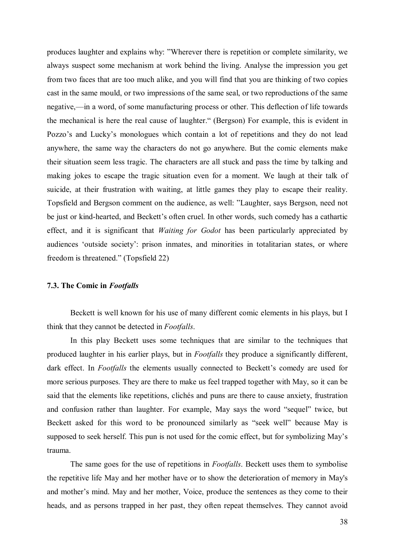produces laughter and explains why: "Wherever there is repetition or complete similarity, we always suspect some mechanism at work behind the living. Analyse the impression you get from two faces that are too much alike, and you will find that you are thinking of two copies cast in the same mould, or two impressions of the same seal, or two reproductions of the same negative,—in a word, of some manufacturing process or other. This deflection of life towards the mechanical is here the real cause of laughter." (Bergson) For example, this is evident in Pozzo's and Lucky's monologues which contain a lot of repetitions and they do not lead anywhere, the same way the characters do not go anywhere. But the comic elements make their situation seem less tragic. The characters are all stuck and pass the time by talking and making jokes to escape the tragic situation even for a moment. We laugh at their talk of suicide, at their frustration with waiting, at little games they play to escape their reality. Topsfield and Bergson comment on the audience, as well: "Laughter, says Bergson, need not be just or kind-hearted, and Beckett's often cruel. In other words, such comedy has a cathartic effect, and it is significant that *Waiting for Godot* has been particularly appreciated by audiences 'outside society': prison inmates, and minorities in totalitarian states, or where freedom is threatened." (Topsfield 22)

#### **7.3. The Comic in** *Footfalls*

Beckett is well known for his use of many different comic elements in his plays, but I think that they cannot be detected in *Footfalls*.

In this play Beckett uses some techniques that are similar to the techniques that produced laughter in his earlier plays, but in *Footfalls* they produce a significantly different, dark effect. In *Footfalls* the elements usually connected to Beckett's comedy are used for more serious purposes. They are there to make us feel trapped together with May, so it can be said that the elements like repetitions, clichés and puns are there to cause anxiety, frustration and confusion rather than laughter. For example, May says the word "sequel" twice, but Beckett asked for this word to be pronounced similarly as "seek well" because May is supposed to seek herself. This pun is not used for the comic effect, but for symbolizing May's trauma.

The same goes for the use of repetitions in *Footfalls*. Beckett uses them to symbolise the repetitive life May and her mother have or to show the deterioration of memory in May's and mother's mind. May and her mother, Voice, produce the sentences as they come to their heads, and as persons trapped in her past, they often repeat themselves. They cannot avoid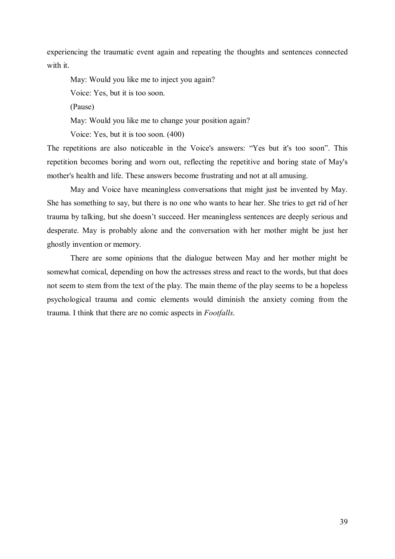experiencing the traumatic event again and repeating the thoughts and sentences connected with it.

May: Would you like me to inject you again? Voice: Yes, but it is too soon.

(Pause)

May: Would you like me to change your position again?

Voice: Yes, but it is too soon. (400)

The repetitions are also noticeable in the Voice's answers: "Yes but it's too soon". This repetition becomes boring and worn out, reflecting the repetitive and boring state of May's mother's health and life. These answers become frustrating and not at all amusing.

May and Voice have meaningless conversations that might just be invented by May. She has something to say, but there is no one who wants to hear her. She tries to get rid of her trauma by talking, but she doesn't succeed. Her meaningless sentences are deeply serious and desperate. May is probably alone and the conversation with her mother might be just her ghostly invention or memory.

There are some opinions that the dialogue between May and her mother might be somewhat comical, depending on how the actresses stress and react to the words, but that does not seem to stem from the text of the play. The main theme of the play seems to be a hopeless psychological trauma and comic elements would diminish the anxiety coming from the trauma. I think that there are no comic aspects in *Footfalls*.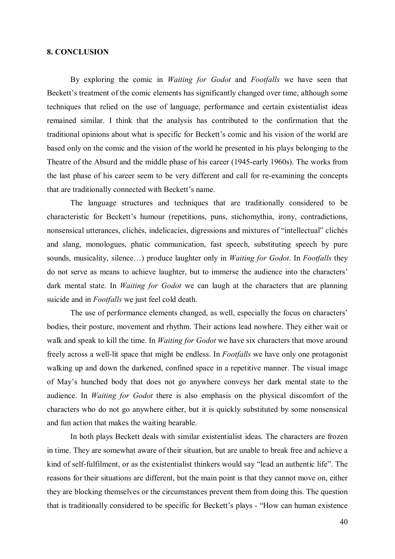#### **8. CONCLUSION**

By exploring the comic in *Waiting for Godot* and *Footfalls* we have seen that Beckett's treatment of the comic elements has significantly changed over time, although some techniques that relied on the use of language, performance and certain existentialist ideas remained similar. I think that the analysis has contributed to the confirmation that the traditional opinions about what is specific for Beckett's comic and his vision of the world are based only on the comic and the vision of the world he presented in his plays belonging to the Theatre of the Absurd and the middle phase of his career (1945-early 1960s). The works from the last phase of his career seem to be very different and call for re-examining the concepts that are traditionally connected with Beckett's name.

The language structures and techniques that are traditionally considered to be characteristic for Beckett's humour (repetitions, puns, stichomythia, irony, contradictions, nonsensical utterances, clichés, indelicacies, digressions and mixtures of "intellectual" clichés and slang, monologues, phatic communication, fast speech, substituting speech by pure sounds, musicality, silence…) produce laughter only in *Waiting for Godot*. In *Footfalls* they do not serve as means to achieve laughter, but to immerse the audience into the characters' dark mental state. In *Waiting for Godot* we can laugh at the characters that are planning suicide and in *Footfalls* we just feel cold death.

The use of performance elements changed, as well, especially the focus on characters' bodies, their posture, movement and rhythm. Their actions lead nowhere. They either wait or walk and speak to kill the time. In *Waiting for Godot* we have six characters that move around freely across a well-lit space that might be endless. In *Footfalls* we have only one protagonist walking up and down the darkened, confined space in a repetitive manner. The visual image of May's hunched body that does not go anywhere conveys her dark mental state to the audience. In *Waiting for Godot* there is also emphasis on the physical discomfort of the characters who do not go anywhere either, but it is quickly substituted by some nonsensical and fun action that makes the waiting bearable.

In both plays Beckett deals with similar existentialist ideas. The characters are frozen in time. They are somewhat aware of their situation, but are unable to break free and achieve a kind of self-fulfilment, or as the existentialist thinkers would say "lead an authentic life". The reasons for their situations are different, but the main point is that they cannot move on, either they are blocking themselves or the circumstances prevent them from doing this. The question that is traditionally considered to be specific for Beckett's plays - "How can human existence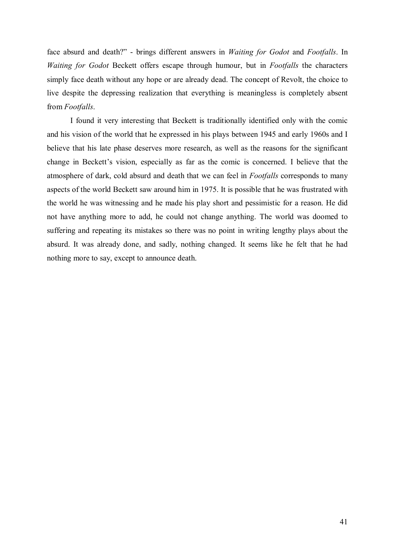face absurd and death?" - brings different answers in *Waiting for Godot* and *Footfalls*. In *Waiting for Godot* Beckett offers escape through humour, but in *Footfalls* the characters simply face death without any hope or are already dead. The concept of Revolt, the choice to live despite the depressing realization that everything is meaningless is completely absent from *Footfalls*.

I found it very interesting that Beckett is traditionally identified only with the comic and his vision of the world that he expressed in his plays between 1945 and early 1960s and I believe that his late phase deserves more research, as well as the reasons for the significant change in Beckett's vision, especially as far as the comic is concerned. I believe that the atmosphere of dark, cold absurd and death that we can feel in *Footfalls* corresponds to many aspects of the world Beckett saw around him in 1975. It is possible that he was frustrated with the world he was witnessing and he made his play short and pessimistic for a reason. He did not have anything more to add, he could not change anything. The world was doomed to suffering and repeating its mistakes so there was no point in writing lengthy plays about the absurd. It was already done, and sadly, nothing changed. It seems like he felt that he had nothing more to say, except to announce death.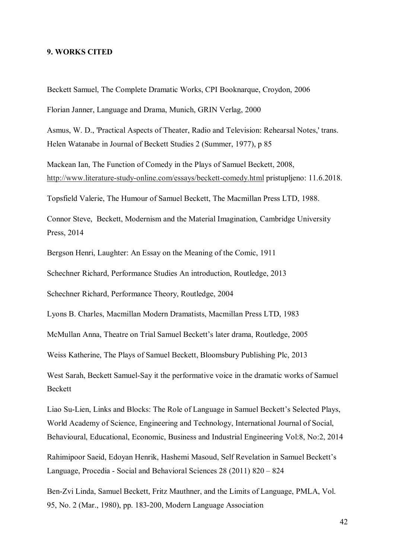#### **9. WORKS CITED**

Beckett Samuel, The Complete Dramatic Works, CPI Booknarque, Croydon, 2006

Florian Janner, Language and Drama, Munich, GRIN Verlag, 2000

Asmus, W. D., 'Practical Aspects of Theater, Radio and Television: Rehearsal Notes,' trans. Helen Watanabe in Journal of Beckett Studies 2 (Summer, 1977), p 85

Mackean Ian, The Function of Comedy in the Plays of Samuel Beckett, 2008, http://www.literature-study-online.com/essays/beckett-comedy.html pristupljeno: 11.6.2018.

Topsfield Valerie, The Humour of Samuel Beckett, The Macmillan Press LTD, 1988.

Connor Steve, Beckett, Modernism and the Material Imagination, Cambridge University Press, 2014

Bergson Henri, Laughter: An Essay on the Meaning of the Comic, 1911

Schechner Richard, Performance Studies An introduction, Routledge, 2013

Schechner Richard, Performance Theory, Routledge, 2004

Lyons B. Charles, Macmillan Modern Dramatists, Macmillan Press LTD, 1983

McMullan Anna, Theatre on Trial Samuel Beckett's later drama, Routledge, 2005

Weiss Katherine, The Plays of Samuel Beckett, Bloomsbury Publishing Plc, 2013

West Sarah, Beckett Samuel-Say it the performative voice in the dramatic works of Samuel Beckett

Liao Su-Lien, Links and Blocks: The Role of Language in Samuel Beckett's Selected Plays, World Academy of Science, Engineering and Technology, International Journal of Social, Behavioural, Educational, Economic, Business and Industrial Engineering Vol:8, No:2, 2014

Rahimipoor Saeid, Edoyan Henrik, Hashemi Masoud, Self Revelation in Samuel Beckett's Language, Procedia - Social and Behavioral Sciences 28 (2011) 820 – 824

Ben-Zvi Linda, Samuel Beckett, Fritz Mauthner, and the Limits of Language, PMLA, Vol. 95, No. 2 (Mar., 1980), pp. 183-200, Modern Language Association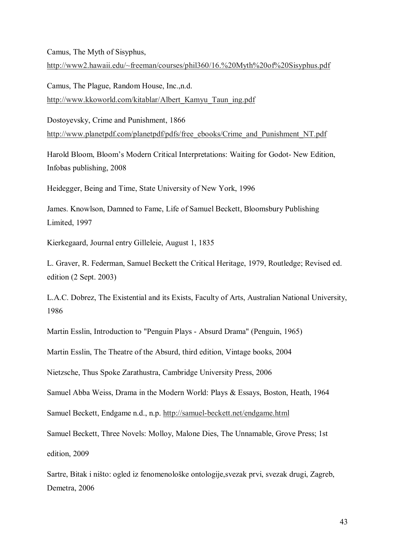Camus, The Myth of Sisyphus,

http://www2.hawaii.edu/~freeman/courses/phil360/16.%20Myth%20of%20Sisyphus.pdf

Camus, The Plague, Random House, Inc.,n.d. http://www.kkoworld.com/kitablar/Albert\_Kamyu\_Taun\_ing.pdf

Dostoyevsky, Crime and Punishment, 1866 http://www.planetpdf.com/planetpdf/pdfs/free\_ebooks/Crime\_and\_Punishment\_NT.pdf

Harold Bloom, Bloom's Modern Critical Interpretations: Waiting for Godot- New Edition, Infobas publishing, 2008

Heidegger, Being and Time, State University of New York, 1996

James. Knowlson, Damned to Fame, Life of Samuel Beckett, Bloomsbury Publishing Limited, 1997

Kierkegaard, Journal entry Gilleleie, August 1, 1835

L. Graver, R. Federman, Samuel Beckett the Critical Heritage, 1979, Routledge; Revised ed. edition (2 Sept. 2003)

L.A.C. Dobrez, The Existential and its Exists, Faculty of Arts, Australian National University, 1986

Martin Esslin, Introduction to "Penguin Plays - Absurd Drama" (Penguin, 1965)

Martin Esslin, The Theatre of the Absurd, third edition, Vintage books, 2004

Nietzsche, Thus Spoke Zarathustra, Cambridge University Press, 2006

Samuel Abba Weiss, Drama in the Modern World: Plays & Essays, Boston, Heath, 1964

Samuel Beckett, Endgame n.d., n.p. http://samuel-beckett.net/endgame.html

Samuel Beckett, Three Novels: Molloy, Malone Dies, The Unnamable, Grove Press; 1st edition, 2009

Sartre, Bitak i ništo: ogled iz fenomenološke ontologije,svezak prvi, svezak drugi, Zagreb, Demetra, 2006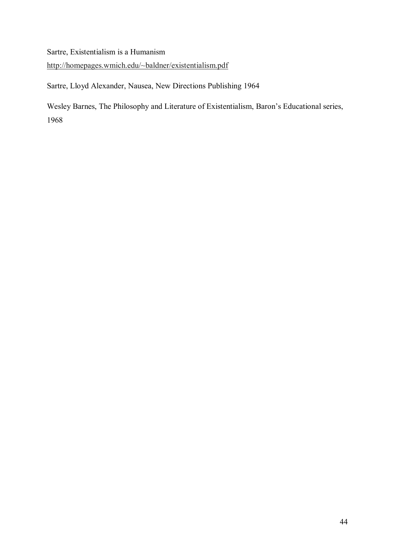Sartre, Existentialism is a Humanism

http://homepages.wmich.edu/~baldner/existentialism.pdf

Sartre, Lloyd Alexander, Nausea, New Directions Publishing 1964

Wesley Barnes, The Philosophy and Literature of Existentialism, Baron's Educational series, 1968